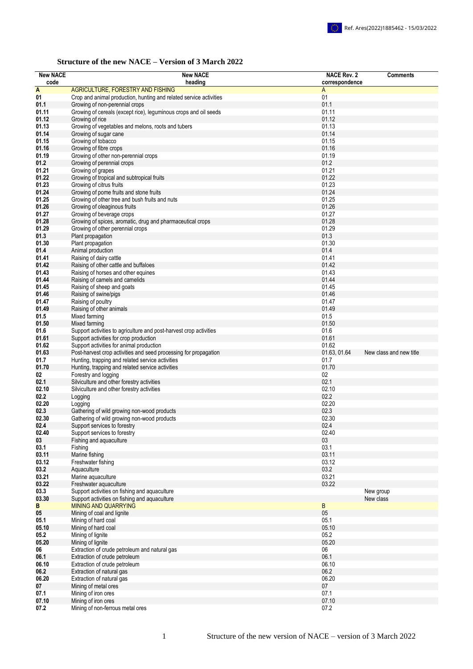## **Structure of the new NACE – Version of 3 March 2022**

| <b>New NACE</b> | <b>New NACE</b>                                                         | <b>NACE Rev. 2</b> | <b>Comments</b>         |
|-----------------|-------------------------------------------------------------------------|--------------------|-------------------------|
| code            | heading                                                                 | correspondence     |                         |
| A               | AGRICULTURE, FORESTRY AND FISHING                                       | Α                  |                         |
| 01              | Crop and animal production, hunting and related service activities      | 01                 |                         |
| 01.1            | Growing of non-perennial crops                                          | 01.1               |                         |
| 01.11           | Growing of cereals (except rice), leguminous crops and oil seeds        | 01.11              |                         |
| 01.12           | Growing of rice                                                         | 01.12              |                         |
| 01.13           | Growing of vegetables and melons, roots and tubers                      | 01.13              |                         |
| 01.14           | Growing of sugar cane                                                   | 01.14              |                         |
| 01.15           | Growing of tobacco                                                      | 01.15              |                         |
| 01.16           | Growing of fibre crops                                                  | 01.16              |                         |
| 01.19           | Growing of other non-perennial crops                                    | 01.19              |                         |
| 01.2            | Growing of perennial crops                                              | 01.2               |                         |
| 01.21           | Growing of grapes                                                       | 01.21              |                         |
| 01.22           | Growing of tropical and subtropical fruits                              | 01.22              |                         |
| 01.23           | Growing of citrus fruits                                                | 01.23              |                         |
| 01.24           | Growing of pome fruits and stone fruits                                 | 01.24              |                         |
| 01.25           | Growing of other tree and bush fruits and nuts                          | 01.25              |                         |
| 01.26           | Growing of oleaginous fruits                                            | 01.26              |                         |
| 01.27           | Growing of beverage crops                                               | 01.27              |                         |
| 01.28           | Growing of spices, aromatic, drug and pharmaceutical crops              | 01.28              |                         |
| 01.29           | Growing of other perennial crops                                        | 01.29              |                         |
| 01.3            | Plant propagation                                                       | 01.3               |                         |
| 01.30           | Plant propagation                                                       | 01.30              |                         |
| 01.4            | Animal production                                                       | 01.4               |                         |
| 01.41           | Raising of dairy cattle                                                 | 01.41              |                         |
| 01.42           | Raising of other cattle and buffaloes                                   | 01.42              |                         |
| 01.43           | Raising of horses and other equines                                     | 01.43              |                         |
| 01.44           | Raising of camels and camelids                                          | 01.44              |                         |
| 01.45           | Raising of sheep and goats                                              | 01.45              |                         |
| 01.46           | Raising of swine/pigs                                                   | 01.46              |                         |
| 01.47           | Raising of poultry                                                      | 01.47              |                         |
| 01.49           | Raising of other animals                                                | 01.49              |                         |
| 01.5            | Mixed farming                                                           | 01.5               |                         |
| 01.50           | Mixed farming                                                           | 01.50              |                         |
| 01.6            | Support activities to agriculture and post-harvest crop activities      | 01.6               |                         |
| 01.61           | Support activities for crop production                                  | 01.61              |                         |
| 01.62           | Support activities for animal production                                | 01.62              |                         |
| 01.63           | Post-harvest crop activities and seed processing for propagation        | 01.63, 01.64       | New class and new title |
| 01.7            | Hunting, trapping and related service activities                        | 01.7               |                         |
| 01.70           | Hunting, trapping and related service activities                        | 01.70              |                         |
| 02              | Forestry and logging                                                    | 02                 |                         |
| 02.1            | Silviculture and other forestry activities                              | 02.1               |                         |
| 02.10           | Silviculture and other forestry activities                              | 02.10              |                         |
| 02.2            | Logging                                                                 | 02.2               |                         |
| 02.20           | Logging                                                                 | 02.20              |                         |
| 02.3            | Gathering of wild growing non-wood products                             | 02.3               |                         |
| 02.30           | Gathering of wild growing non-wood products                             | 02.30              |                         |
| 02.4            | Support services to forestry                                            | 02.4               |                         |
| 02.40           | Support services to forestry                                            | 02.40              |                         |
| 03              | Fishing and aquaculture                                                 | 03                 |                         |
| 03.1            | Fishing                                                                 | 03.1               |                         |
| 03.11<br>03.12  | Marine fishing                                                          | 03.11<br>03.12     |                         |
|                 | Freshwater fishing<br>Aquaculture                                       |                    |                         |
| 03.2            |                                                                         | 03.2               |                         |
| 03.21           | Marine aquaculture                                                      | 03.21              |                         |
| 03.22<br>03.3   | Freshwater aquaculture<br>Support activities on fishing and aquaculture | 03.22              |                         |
| 03.30           | Support activities on fishing and aquaculture                           |                    | New group               |
| B               | <b>MINING AND QUARRYING</b>                                             | B                  | New class               |
| 05              |                                                                         | 05                 |                         |
| 05.1            | Mining of coal and lignite<br>Mining of hard coal                       | 05.1               |                         |
| 05.10           | Mining of hard coal                                                     | 05.10              |                         |
| 05.2            | Mining of lignite                                                       | 05.2               |                         |
| 05.20           | Mining of lignite                                                       | 05.20              |                         |
| 06              | Extraction of crude petroleum and natural gas                           | 06                 |                         |
| 06.1            | Extraction of crude petroleum                                           | 06.1               |                         |
| 06.10           | Extraction of crude petroleum                                           | 06.10              |                         |
| 06.2            | Extraction of natural gas                                               | 06.2               |                         |
| 06.20           | Extraction of natural gas                                               | 06.20              |                         |
| 07              | Mining of metal ores                                                    | 07                 |                         |
| 07.1            | Mining of iron ores                                                     | 07.1               |                         |
| 07.10           | Mining of iron ores                                                     | 07.10              |                         |
| 07.2            | Mining of non-ferrous metal ores                                        | 07.2               |                         |
|                 |                                                                         |                    |                         |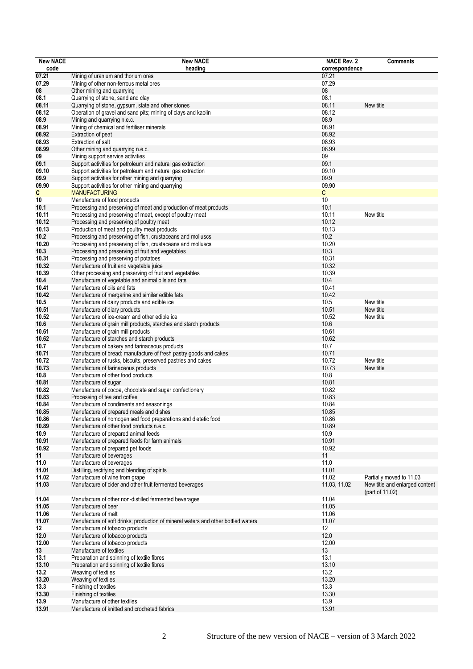| <b>New NACE</b> | <b>New NACE</b>                                                                   | <b>NACE Rev. 2</b> | <b>Comments</b>                |
|-----------------|-----------------------------------------------------------------------------------|--------------------|--------------------------------|
| code            | heading                                                                           | correspondence     |                                |
| 07.21           | Mining of uranium and thorium ores                                                | 07.21              |                                |
| 07.29           | Mining of other non-ferrous metal ores                                            | 07.29              |                                |
| 08              | Other mining and quarrying                                                        | 08                 |                                |
| 08.1            | Quarrying of stone, sand and clay                                                 | 08.1               |                                |
| 08.11           | Quarrying of stone, gypsum, slate and other stones                                | 08.11              | New title                      |
| 08.12           | Operation of gravel and sand pits; mining of clays and kaolin                     | 08.12              |                                |
| 08.9            | Mining and quarrying n.e.c.                                                       | 08.9               |                                |
| 08.91           | Mining of chemical and fertiliser minerals                                        | 08.91              |                                |
| 08.92           | Extraction of peat                                                                | 08.92              |                                |
| 08.93           | Extraction of salt                                                                | 08.93              |                                |
| 08.99           | Other mining and quarrying n.e.c.                                                 | 08.99              |                                |
| 09              | Mining support service activities                                                 | 09                 |                                |
| 09.1            | Support activities for petroleum and natural gas extraction                       | 09.1               |                                |
| 09.10           | Support activities for petroleum and natural gas extraction                       | 09.10              |                                |
| 09.9            | Support activities for other mining and quarrying                                 | 09.9               |                                |
| 09.90           | Support activities for other mining and quarrying                                 | 09.90              |                                |
| C               | <b>MANUFACTURING</b>                                                              | С                  |                                |
| 10              | Manufacture of food products                                                      | 10                 |                                |
| 10.1            | Processing and preserving of meat and production of meat products                 | 10.1               |                                |
| 10.11           | Processing and preserving of meat, except of poultry meat                         | 10.11              | New title                      |
| 10.12           | Processing and preserving of poultry meat                                         | 10.12              |                                |
| 10.13           | Production of meat and poultry meat products                                      | 10.13              |                                |
| 10.2            | Processing and preserving of fish, crustaceans and molluscs                       | 10.2               |                                |
| 10.20           | Processing and preserving of fish, crustaceans and molluscs                       | 10.20              |                                |
| 10.3            | Processing and preserving of fruit and vegetables                                 | 10.3               |                                |
| 10.31           | Processing and preserving of potatoes                                             | 10.31              |                                |
| 10.32           | Manufacture of fruit and vegetable juice                                          | 10.32              |                                |
| 10.39           | Other processing and preserving of fruit and vegetables                           | 10.39              |                                |
| 10.4            | Manufacture of vegetable and animal oils and fats                                 | 10.4               |                                |
| 10.41           | Manufacture of oils and fats                                                      | 10.41              |                                |
| 10.42           | Manufacture of margarine and similar edible fats                                  | 10.42              |                                |
| 10.5            | Manufacture of dairy products and edible ice                                      | 10.5               | New title                      |
| 10.51           | Manufacture of diary products                                                     | 10.51              | New title                      |
| 10.52           | Manufacture of ice-cream and other edible ice                                     | 10.52              | New title                      |
| 10.6            | Manufacture of grain mill products, starches and starch products                  | 10.6               |                                |
| 10.61           | Manufacture of grain mill products                                                | 10.61              |                                |
| 10.62           | Manufacture of starches and starch products                                       | 10.62              |                                |
| 10.7            | Manufacture of bakery and farinaceous products                                    | 10.7               |                                |
| 10.71           | Manufacture of bread; manufacture of fresh pastry goods and cakes                 | 10.71              |                                |
| 10.72           | Manufacture of rusks, biscuits, preserved pastries and cakes                      | 10.72              | New title                      |
| 10.73           | Manufacture of farinaceous products                                               | 10.73              | New title                      |
| 10.8            | Manufacture of other food products                                                | 10.8               |                                |
| 10.81           | Manufacture of sugar                                                              | 10.81              |                                |
| 10.82           | Manufacture of cocoa, chocolate and sugar confectionery                           | 10.82              |                                |
| 10.83           | Processing of tea and coffee                                                      | 10.83              |                                |
| 10.84           | Manufacture of condiments and seasonings                                          | 10.84              |                                |
| 10.85           | Manufacture of prepared meals and dishes                                          | 10.85              |                                |
| 10.86           | Manufacture of homogenised food preparations and dietetic food                    | 10.86              |                                |
| 10.89           | Manufacture of other food products n.e.c.                                         | 10.89              |                                |
| 10.9            | Manufacture of prepared animal feeds                                              | 10.9               |                                |
| 10.91           | Manufacture of prepared feeds for farm animals                                    | 10.91<br>10.92     |                                |
| 10.92           | Manufacture of prepared pet foods                                                 |                    |                                |
| 11              | Manufacture of beverages                                                          | 11                 |                                |
| 11.0            | Manufacture of beverages                                                          | 11.0<br>11.01      |                                |
| 11.01<br>11.02  | Distilling, rectifying and blending of spirits                                    | 11.02              | Partially moved to 11.03       |
|                 | Manufacture of wine from grape                                                    |                    | New title and enlarged content |
| 11.03           | Manufacture of cider and other fruit fermented beverages                          | 11.03, 11.02       | (part of 11.02)                |
| 11.04           | Manufacture of other non-distilled fermented beverages                            | 11.04              |                                |
| 11.05           | Manufacture of beer                                                               | 11.05              |                                |
| 11.06           | Manufacture of malt                                                               | 11.06              |                                |
| 11.07           | Manufacture of soft drinks; production of mineral waters and other bottled waters | 11.07              |                                |
| 12              | Manufacture of tobacco products                                                   | 12                 |                                |
| 12.0            | Manufacture of tobacco products                                                   | 12.0               |                                |
| 12.00           | Manufacture of tobacco products                                                   | 12.00              |                                |
| 13              | Manufacture of textiles                                                           | 13                 |                                |
| 13.1            | Preparation and spinning of textile fibres                                        | 13.1               |                                |
| 13.10           | Preparation and spinning of textile fibres                                        | 13.10              |                                |
| 13.2            | Weaving of textiles                                                               | 13.2               |                                |
| 13.20           | Weaving of textiles                                                               | 13.20              |                                |
| 13.3            | Finishing of textiles                                                             | 13.3               |                                |
| 13.30           | Finishing of textiles                                                             | 13.30              |                                |
| 13.9            | Manufacture of other textiles                                                     | 13.9               |                                |
| 13.91           | Manufacture of knitted and crocheted fabrics                                      | 13.91              |                                |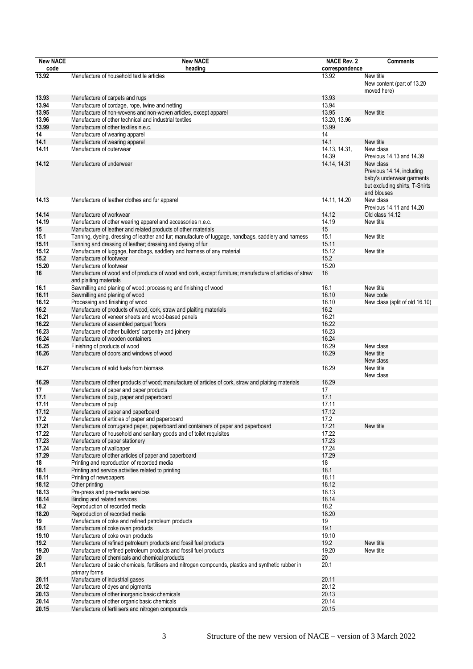| <b>New NACE</b> | <b>New NACE</b>                                                                                                                    | <b>NACE Rev. 2</b> | <b>Comments</b>                                                                                                      |
|-----------------|------------------------------------------------------------------------------------------------------------------------------------|--------------------|----------------------------------------------------------------------------------------------------------------------|
| code            | heading                                                                                                                            | correspondence     |                                                                                                                      |
| 13.92           | Manufacture of household textile articles                                                                                          | 13.92              | New title<br>New content (part of 13.20<br>moved here)                                                               |
| 13.93           | Manufacture of carpets and rugs                                                                                                    | 13.93              |                                                                                                                      |
| 13.94           | Manufacture of cordage, rope, twine and netting                                                                                    | 13.94              |                                                                                                                      |
| 13.95           | Manufacture of non-wovens and non-woven articles, except apparel                                                                   | 13.95              | New title                                                                                                            |
| 13.96           | Manufacture of other technical and industrial textiles                                                                             | 13.20, 13.96       |                                                                                                                      |
| 13.99           | Manufacture of other textiles n.e.c.                                                                                               | 13.99              |                                                                                                                      |
| 14              | Manufacture of wearing apparel                                                                                                     | 14                 |                                                                                                                      |
| 14.1            | Manufacture of wearing apparel                                                                                                     | 14.1               | New title                                                                                                            |
| 14.11           | Manufacture of outerwear                                                                                                           | 14.13, 14.31,      | New class                                                                                                            |
|                 |                                                                                                                                    | 14.39              | Previous 14.13 and 14.39                                                                                             |
| 14.12           | Manufacture of underwear                                                                                                           | 14.14, 14.31       | New class<br>Previous 14.14, including<br>baby's underwear garments<br>but excluding shirts, T-Shirts<br>and blouses |
| 14.13           | Manufacture of leather clothes and fur apparel                                                                                     | 14.11, 14.20       | New class<br>Previous 14.11 and 14.20                                                                                |
| 14.14           | Manufacture of workwear                                                                                                            | 14.12              | Old class 14.12                                                                                                      |
| 14.19           | Manufacture of other wearing apparel and accessories n.e.c.                                                                        | 14.19              | New title                                                                                                            |
| 15              | Manufacture of leather and related products of other materials                                                                     | 15                 |                                                                                                                      |
| 15.1            | Tanning, dyeing, dressing of leather and fur; manufacture of luggage, handbags, saddlery and harness                               | 15.1               | New title                                                                                                            |
| 15.11           | Tanning and dressing of leather; dressing and dyeing of fur                                                                        | 15.11              |                                                                                                                      |
| 15.12           | Manufacture of luggage, handbags, saddlery and harness of any material                                                             | 15.12              | New title                                                                                                            |
| 15.2            | Manufacture of footwear                                                                                                            | 15.2               |                                                                                                                      |
| 15.20           | Manufacture of footwear                                                                                                            | 15.20              |                                                                                                                      |
| 16              | Manufacture of wood and of products of wood and cork, except furniture; manufacture of articles of straw<br>and plaiting materials | 16                 |                                                                                                                      |
| 16.1            | Sawmilling and planing of wood; processing and finishing of wood                                                                   | 16.1               | New title                                                                                                            |
| 16.11           | Sawmilling and planing of wood                                                                                                     | 16.10              | New code                                                                                                             |
| 16.12           | Processing and finishing of wood                                                                                                   | 16.10              | New class (split of old 16.10)                                                                                       |
| 16.2            | Manufacture of products of wood, cork, straw and plaiting materials                                                                | 16.2               |                                                                                                                      |
| 16.21           | Manufacture of veneer sheets and wood-based panels                                                                                 | 16.21              |                                                                                                                      |
| 16.22           | Manufacture of assembled parquet floors                                                                                            | 16.22              |                                                                                                                      |
| 16.23           | Manufacture of other builders' carpentry and joinery                                                                               | 16.23              |                                                                                                                      |
| 16.24           | Manufacture of wooden containers                                                                                                   | 16.24              |                                                                                                                      |
| 16.25           | Finishing of products of wood                                                                                                      | 16.29              | New class                                                                                                            |
| 16.26           | Manufacture of doors and windows of wood                                                                                           | 16.29              | New title<br>New class                                                                                               |
| 16.27           | Manufacture of solid fuels from biomass                                                                                            | 16.29              | New title<br>New class                                                                                               |
| 16.29           | Manufacture of other products of wood; manufacture of articles of cork, straw and plaiting materials                               | 16.29              |                                                                                                                      |
| 17              | Manufacture of paper and paper products                                                                                            | 17                 |                                                                                                                      |
| 17.1            | Manufacture of pulp, paper and paperboard                                                                                          | 17.1               |                                                                                                                      |
| 17.11           | Manufacture of pulp                                                                                                                | 17.11              |                                                                                                                      |
| 17.12           | Manufacture of paper and paperboard                                                                                                | 17.12              |                                                                                                                      |
| 17.2            | Manufacture of articles of paper and paperboard                                                                                    | 17.2               |                                                                                                                      |
| 17.21           | Manufacture of corrugated paper, paperboard and containers of paper and paperboard                                                 | 17.21              | New title                                                                                                            |
| 17.22           | Manufacture of household and sanitary goods and of toilet requisites                                                               | 17.22              |                                                                                                                      |
| 17.23           | Manufacture of paper stationery                                                                                                    | 17.23              |                                                                                                                      |
| 17.24           | Manufacture of wallpaper                                                                                                           | 17.24              |                                                                                                                      |
| 17.29           | Manufacture of other articles of paper and paperboard                                                                              | 17.29              |                                                                                                                      |
| 18              | Printing and reproduction of recorded media                                                                                        | 18                 |                                                                                                                      |
| 18.1            | Printing and service activities related to printing                                                                                | 18.1               |                                                                                                                      |
| 18.11           | Printing of newspapers                                                                                                             | 18.11              |                                                                                                                      |
| 18.12           | Other printing                                                                                                                     | 18.12              |                                                                                                                      |
| 18.13           | Pre-press and pre-media services                                                                                                   | 18.13              |                                                                                                                      |
| 18.14           | Binding and related services                                                                                                       | 18.14              |                                                                                                                      |
| 18.2            | Reproduction of recorded media                                                                                                     | 18.2               |                                                                                                                      |
| 18.20           | Reproduction of recorded media                                                                                                     | 18.20              |                                                                                                                      |
| 19              | Manufacture of coke and refined petroleum products                                                                                 | 19                 |                                                                                                                      |
| 19.1            | Manufacture of coke oven products                                                                                                  | 19.1               |                                                                                                                      |
| 19.10           | Manufacture of coke oven products                                                                                                  | 19.10              |                                                                                                                      |
| 19.2            | Manufacture of refined petroleum products and fossil fuel products                                                                 | 19.2               | New title                                                                                                            |
| 19.20           | Manufacture of refined petroleum products and fossil fuel products                                                                 | 19.20              | New title                                                                                                            |
| 20              | Manufacture of chemicals and chemical products                                                                                     | 20                 |                                                                                                                      |
| 20.1            | Manufacture of basic chemicals, fertilisers and nitrogen compounds, plastics and synthetic rubber in<br>primary forms              | 20.1               |                                                                                                                      |
| 20.11           | Manufacture of industrial gases                                                                                                    | 20.11              |                                                                                                                      |
| 20.12           | Manufacture of dyes and pigments                                                                                                   | 20.12              |                                                                                                                      |
| 20.13           | Manufacture of other inorganic basic chemicals                                                                                     | 20.13              |                                                                                                                      |
| 20.14           | Manufacture of other organic basic chemicals                                                                                       | 20.14              |                                                                                                                      |
| 20.15           | Manufacture of fertilisers and nitrogen compounds                                                                                  | 20.15              |                                                                                                                      |
|                 |                                                                                                                                    |                    |                                                                                                                      |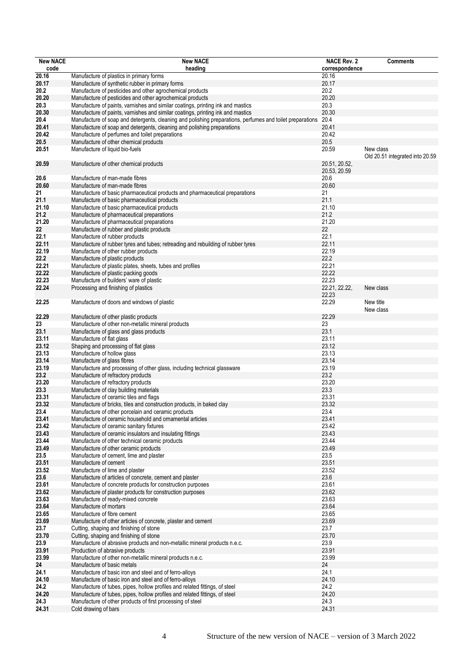| <b>New NACE</b> | <b>New NACE</b>                                                                                                                                                    | <b>NACE Rev. 2</b>   | <b>Comments</b>                 |
|-----------------|--------------------------------------------------------------------------------------------------------------------------------------------------------------------|----------------------|---------------------------------|
| code            | heading                                                                                                                                                            | correspondence       |                                 |
| 20.16           | Manufacture of plastics in primary forms                                                                                                                           | 20.16                |                                 |
| 20.17           | Manufacture of synthetic rubber in primary forms                                                                                                                   | 20.17                |                                 |
| 20.2            | Manufacture of pesticides and other agrochemical products                                                                                                          | 20.2                 |                                 |
| 20.20           | Manufacture of pesticides and other agrochemical products                                                                                                          | 20.20                |                                 |
| 20.3<br>20.30   | Manufacture of paints, varnishes and similar coatings, printing ink and mastics<br>Manufacture of paints, varnishes and similar coatings, printing ink and mastics | 20.3<br>20.30        |                                 |
| 20.4            | Manufacture of soap and detergents, cleaning and polishing preparations, perfumes and toilet preparations                                                          | 20.4                 |                                 |
| 20.41           | Manufacture of soap and detergents, cleaning and polishing preparations                                                                                            | 20.41                |                                 |
| 20.42           | Manufacture of perfumes and toilet preparations                                                                                                                    | 20.42                |                                 |
| 20.5            | Manufacture of other chemical products                                                                                                                             | 20.5                 |                                 |
| 20.51           | Manufacture of liquid bio-fuels                                                                                                                                    | 20.59                | New class                       |
|                 |                                                                                                                                                                    |                      | Old 20.51 integrated into 20.59 |
| 20.59           | Manufacture of other chemical products                                                                                                                             | 20.51, 20.52,        |                                 |
| 20.6            | Manufacture of man-made fibres                                                                                                                                     | 20.53, 20.59<br>20.6 |                                 |
| 20.60           | Manufacture of man-made fibres                                                                                                                                     | 20.60                |                                 |
| 21              | Manufacture of basic pharmaceutical products and pharmaceutical preparations                                                                                       | 21                   |                                 |
| 21.1            | Manufacture of basic pharmaceutical products                                                                                                                       | 21.1                 |                                 |
| 21.10           | Manufacture of basic pharmaceutical products                                                                                                                       | 21.10                |                                 |
| 21.2            | Manufacture of pharmaceutical preparations                                                                                                                         | 21.2                 |                                 |
| 21.20           | Manufacture of pharmaceutical preparations                                                                                                                         | 21.20                |                                 |
| 22              | Manufacture of rubber and plastic products                                                                                                                         | 22                   |                                 |
| 22.1            | Manufacture of rubber products                                                                                                                                     | 22.1                 |                                 |
| 22.11           | Manufacture of rubber tyres and tubes; retreading and rebuilding of rubber tyres                                                                                   | 22.11                |                                 |
| 22.19           | Manufacture of other rubber products                                                                                                                               | 22.19                |                                 |
| 22.2            | Manufacture of plastic products                                                                                                                                    | 22.2<br>22.21        |                                 |
| 22.21<br>22.22  | Manufacture of plastic plates, sheets, tubes and profiles                                                                                                          | 22.22                |                                 |
| 22.23           | Manufacture of plastic packing goods<br>Manufacture of builders' ware of plastic                                                                                   | 22.23                |                                 |
| 22.24           | Processing and finishing of plastics                                                                                                                               | 22.21, 22.22,        | New class                       |
|                 |                                                                                                                                                                    | 22.23                |                                 |
| 22.25           | Manufacture of doors and windows of plastic                                                                                                                        | 22.29                | New title                       |
|                 |                                                                                                                                                                    |                      | New class                       |
| 22.29           | Manufacture of other plastic products                                                                                                                              | 22.29                |                                 |
| 23              | Manufacture of other non-metallic mineral products                                                                                                                 | 23                   |                                 |
| 23.1            | Manufacture of glass and glass products                                                                                                                            | 23.1                 |                                 |
| 23.11<br>23.12  | Manufacture of flat glass                                                                                                                                          | 23.11<br>23.12       |                                 |
| 23.13           | Shaping and processing of flat glass<br>Manufacture of hollow glass                                                                                                | 23.13                |                                 |
| 23.14           | Manufacture of glass fibres                                                                                                                                        | 23.14                |                                 |
| 23.19           | Manufacture and processing of other glass, including technical glassware                                                                                           | 23.19                |                                 |
| 23.2            | Manufacture of refractory products                                                                                                                                 | 23.2                 |                                 |
| 23.20           | Manufacture of refractory products                                                                                                                                 | 23.20                |                                 |
| 23.3            | Manufacture of clay building materials                                                                                                                             | 23.3                 |                                 |
| 23.31           | Manufacture of ceramic tiles and flags                                                                                                                             | 23.31                |                                 |
| 23.32           | Manufacture of bricks, tiles and construction products, in baked clay                                                                                              | 23.32                |                                 |
| 23.4            | Manufacture of other porcelain and ceramic products                                                                                                                | 23.4                 |                                 |
| 23.41<br>23.42  | Manufacture of ceramic household and ornamental articles<br>Manufacture of ceramic sanitary fixtures                                                               | 23.41<br>23.42       |                                 |
| 23.43           | Manufacture of ceramic insulators and insulating fittings                                                                                                          | 23.43                |                                 |
| 23.44           | Manufacture of other technical ceramic products                                                                                                                    | 23.44                |                                 |
| 23.49           | Manufacture of other ceramic products                                                                                                                              | 23.49                |                                 |
| 23.5            | Manufacture of cement, lime and plaster                                                                                                                            | 23.5                 |                                 |
| 23.51           | Manufacture of cement                                                                                                                                              | 23.51                |                                 |
| 23.52           | Manufacture of lime and plaster                                                                                                                                    | 23.52                |                                 |
| 23.6            | Manufacture of articles of concrete, cement and plaster                                                                                                            | 23.6                 |                                 |
| 23.61           | Manufacture of concrete products for construction purposes                                                                                                         | 23.61                |                                 |
| 23.62           | Manufacture of plaster products for construction purposes                                                                                                          | 23.62                |                                 |
| 23.63<br>23.64  | Manufacture of ready-mixed concrete<br>Manufacture of mortars                                                                                                      | 23.63<br>23.64       |                                 |
| 23.65           | Manufacture of fibre cement                                                                                                                                        | 23.65                |                                 |
| 23.69           | Manufacture of other articles of concrete, plaster and cement                                                                                                      | 23.69                |                                 |
| 23.7            | Cutting, shaping and finishing of stone                                                                                                                            | 23.7                 |                                 |
| 23.70           | Cutting, shaping and finishing of stone                                                                                                                            | 23.70                |                                 |
| 23.9            | Manufacture of abrasive products and non-metallic mineral products n.e.c.                                                                                          | 23.9                 |                                 |
| 23.91           | Production of abrasive products                                                                                                                                    | 23.91                |                                 |
| 23.99           | Manufacture of other non-metallic mineral products n.e.c.                                                                                                          | 23.99                |                                 |
| 24              | Manufacture of basic metals                                                                                                                                        | 24                   |                                 |
| 24.1            | Manufacture of basic iron and steel and of ferro-alloys                                                                                                            | 24.1                 |                                 |
| 24.10           | Manufacture of basic iron and steel and of ferro-alloys                                                                                                            | 24.10                |                                 |
| 24.2            | Manufacture of tubes, pipes, hollow profiles and related fittings, of steel                                                                                        | 24.2                 |                                 |
| 24.20<br>24.3   | Manufacture of tubes, pipes, hollow profiles and related fittings, of steel<br>Manufacture of other products of first processing of steel                          | 24.20<br>24.3        |                                 |
| 24.31           | Cold drawing of bars                                                                                                                                               | 24.31                |                                 |
|                 |                                                                                                                                                                    |                      |                                 |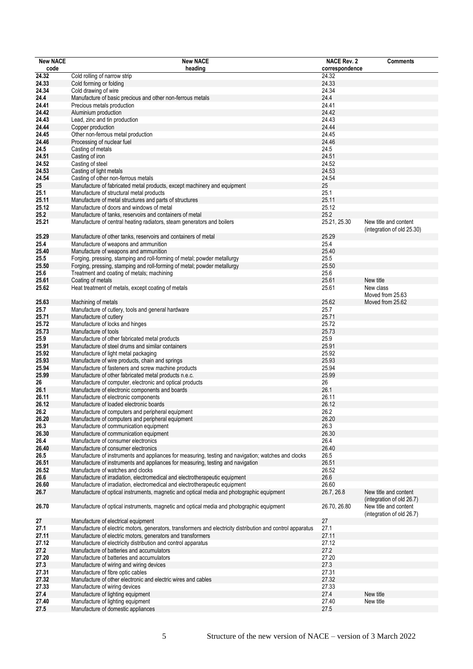| <b>New NACE</b> | <b>New NACE</b>                                                                                                   | <b>NACE Rev. 2</b> | <b>Comments</b>                                    |
|-----------------|-------------------------------------------------------------------------------------------------------------------|--------------------|----------------------------------------------------|
| code            | heading                                                                                                           | correspondence     |                                                    |
| 24.32           | Cold rolling of narrow strip                                                                                      | 24.32              |                                                    |
| 24.33           | Cold forming or folding                                                                                           | 24.33              |                                                    |
| 24.34           | Cold drawing of wire                                                                                              | 24.34              |                                                    |
| 24.4            | Manufacture of basic precious and other non-ferrous metals                                                        | 24.4               |                                                    |
| 24.41           | Precious metals production                                                                                        | 24.41              |                                                    |
| 24.42           | Aluminium production                                                                                              | 24.42              |                                                    |
| 24.43           | Lead, zinc and tin production                                                                                     | 24.43              |                                                    |
| 24.44           | Copper production                                                                                                 | 24.44              |                                                    |
| 24.45           | Other non-ferrous metal production                                                                                | 24.45              |                                                    |
| 24.46           | Processing of nuclear fuel                                                                                        | 24.46              |                                                    |
| 24.5            | Casting of metals                                                                                                 | 24.5               |                                                    |
| 24.51           | Casting of iron                                                                                                   | 24.51              |                                                    |
| 24.52           | Casting of steel                                                                                                  | 24.52              |                                                    |
| 24.53           | Casting of light metals                                                                                           | 24.53              |                                                    |
| 24.54           | Casting of other non-ferrous metals                                                                               | 24.54              |                                                    |
| 25              | Manufacture of fabricated metal products, except machinery and equipment                                          | 25                 |                                                    |
| 25.1            | Manufacture of structural metal products                                                                          | 25.1               |                                                    |
| 25.11           | Manufacture of metal structures and parts of structures                                                           | 25.11              |                                                    |
| 25.12           | Manufacture of doors and windows of metal                                                                         | 25.12              |                                                    |
| 25.2            | Manufacture of tanks, reservoirs and containers of metal                                                          | 25.2               |                                                    |
| 25.21           | Manufacture of central heating radiators, steam generators and boilers                                            | 25.21, 25.30       | New title and content                              |
|                 |                                                                                                                   |                    | (integration of old 25.30)                         |
| 25.29           | Manufacture of other tanks, reservoirs and containers of metal                                                    | 25.29              |                                                    |
| 25.4            | Manufacture of weapons and ammunition                                                                             | 25.4               |                                                    |
| 25.40           |                                                                                                                   | 25.40              |                                                    |
| 25.5            | Manufacture of weapons and ammunition<br>Forging, pressing, stamping and roll-forming of metal; powder metallurgy | 25.5               |                                                    |
| 25.50           | Forging, pressing, stamping and roll-forming of metal; powder metallurgy                                          | 25.50              |                                                    |
| 25.6            |                                                                                                                   | 25.6               |                                                    |
| 25.61           | Treatment and coating of metals; machining<br>Coating of metals                                                   | 25.61              | New title                                          |
|                 |                                                                                                                   |                    |                                                    |
| 25.62           | Heat treatment of metals, except coating of metals                                                                | 25.61              | New class                                          |
|                 |                                                                                                                   |                    | Moved from 25.63                                   |
| 25.63           | Machining of metals                                                                                               | 25.62              | Moved from 25.62                                   |
| 25.7            | Manufacture of cutlery, tools and general hardware                                                                | 25.7               |                                                    |
| 25.71           | Manufacture of cutlery                                                                                            | 25.71              |                                                    |
| 25.72           | Manufacture of locks and hinges                                                                                   | 25.72              |                                                    |
| 25.73           | Manufacture of tools                                                                                              | 25.73              |                                                    |
| 25.9            | Manufacture of other fabricated metal products                                                                    | 25.9               |                                                    |
| 25.91           | Manufacture of steel drums and similar containers                                                                 | 25.91              |                                                    |
| 25.92           | Manufacture of light metal packaging                                                                              | 25.92              |                                                    |
| 25.93           | Manufacture of wire products, chain and springs                                                                   | 25.93              |                                                    |
| 25.94           | Manufacture of fasteners and screw machine products                                                               | 25.94              |                                                    |
| 25.99           | Manufacture of other fabricated metal products n.e.c.                                                             | 25.99              |                                                    |
| 26              | Manufacture of computer, electronic and optical products                                                          | 26                 |                                                    |
| 26.1            | Manufacture of electronic components and boards                                                                   | 26.1               |                                                    |
| 26.11           | Manufacture of electronic components                                                                              | 26.11              |                                                    |
| 26.12           | Manufacture of loaded electronic boards                                                                           | 26.12              |                                                    |
| 26.2            | Manufacture of computers and peripheral equipment                                                                 | 26.2               |                                                    |
| 26.20           | Manufacture of computers and peripheral equipment                                                                 | 26.20              |                                                    |
| 26.3            | Manufacture of communication equipment                                                                            | 26.3               |                                                    |
| 26.30           | Manufacture of communication equipment                                                                            | 26.30              |                                                    |
| 26.4            | Manufacture of consumer electronics                                                                               | 26.4               |                                                    |
| 26.40           | Manufacture of consumer electronics                                                                               | 26.40              |                                                    |
| 26.5            | Manufacture of instruments and appliances for measuring, testing and navigation; watches and clocks               | 26.5               |                                                    |
| 26.51           | Manufacture of instruments and appliances for measuring, testing and navigation                                   | 26.51              |                                                    |
| 26.52           | Manufacture of watches and clocks                                                                                 | 26.52              |                                                    |
| 26.6            | Manufacture of irradiation, electromedical and electrotherapeutic equipment                                       | 26.6               |                                                    |
| 26.60           | Manufacture of irradiation, electromedical and electrotherapeutic equipment                                       | 26.60              |                                                    |
| 26.7            | Manufacture of optical instruments, magnetic and optical media and photographic equipment                         | 26.7, 26.8         | New title and content                              |
| 26.70           | Manufacture of optical instruments, magnetic and optical media and photographic equipment                         | 26.70, 26.80       | (integration of old 26.7)<br>New title and content |
|                 |                                                                                                                   |                    | (integration of old 26.7)                          |
| 27              | Manufacture of electrical equipment                                                                               | 27                 |                                                    |
| 27.1            | Manufacture of electric motors, generators, transformers and electricity distribution and control apparatus       | 27.1               |                                                    |
| 27.11           | Manufacture of electric motors, generators and transformers                                                       | 27.11              |                                                    |
| 27.12           | Manufacture of electricity distribution and control apparatus                                                     | 27.12              |                                                    |
| 27.2            | Manufacture of batteries and accumulators                                                                         | 27.2               |                                                    |
| 27.20           | Manufacture of batteries and accumulators                                                                         | 27.20              |                                                    |
| 27.3            | Manufacture of wiring and wiring devices                                                                          | 27.3               |                                                    |
| 27.31           | Manufacture of fibre optic cables                                                                                 | 27.31              |                                                    |
| 27.32           | Manufacture of other electronic and electric wires and cables                                                     | 27.32              |                                                    |
| 27.33           | Manufacture of wiring devices                                                                                     | 27.33              |                                                    |
| 27.4            | Manufacture of lighting equipment                                                                                 | 27.4               | New title                                          |
| 27.40           | Manufacture of lighting equipment                                                                                 | 27.40              | New title                                          |
| 27.5            | Manufacture of domestic appliances                                                                                | 27.5               |                                                    |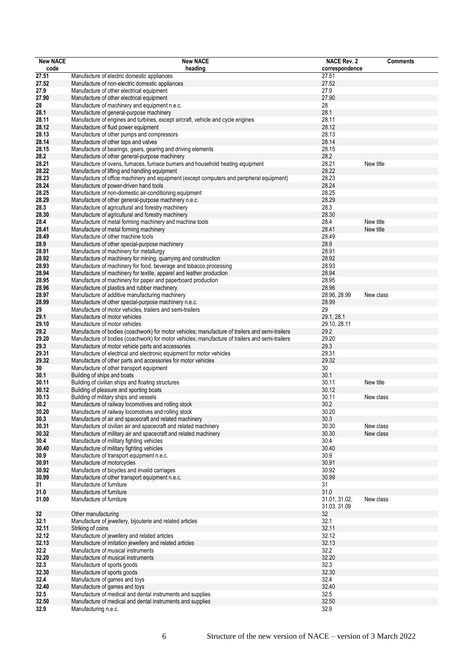| <b>New NACE</b> | <b>New NACE</b>                                                                                                                      | <b>NACE Rev. 2</b> | <b>Comments</b> |
|-----------------|--------------------------------------------------------------------------------------------------------------------------------------|--------------------|-----------------|
| code            | heading                                                                                                                              | correspondence     |                 |
| 27.51           | Manufacture of electric domestic appliances                                                                                          | 27.51              |                 |
| 27.52           | Manufacture of non-electric domestic appliances                                                                                      | 27.52              |                 |
| 27.9            | Manufacture of other electrical equipment                                                                                            | 27.9               |                 |
| 27.90           | Manufacture of other electrical equipment                                                                                            | 27.90              |                 |
| 28              | Manufacture of machinery and equipment n.e.c.                                                                                        | 28                 |                 |
| 28.1            | Manufacture of general-purpose machinery                                                                                             | 28.1               |                 |
| 28.11           | Manufacture of engines and turbines, except aircraft, vehicle and cycle engines                                                      | 28.11              |                 |
| 28.12           | Manufacture of fluid power equipment                                                                                                 | 28.12              |                 |
| 28.13           | Manufacture of other pumps and compressors                                                                                           | 28.13              |                 |
| 28.14           | Manufacture of other taps and valves                                                                                                 | 28.14              |                 |
| 28.15           | Manufacture of bearings, gears, gearing and driving elements                                                                         | 28.15              |                 |
| 28.2            | Manufacture of other general-purpose machinery                                                                                       | 28.2               |                 |
| 28.21           | Manufacture of ovens, furnaces, furnace burners and household heating equipment                                                      | 28.21              | New title       |
| 28.22           | Manufacture of lifting and handling equipment                                                                                        | 28.22              |                 |
| 28.23           | Manufacture of office machinery and equipment (except computers and peripheral equipment)                                            | 28.23              |                 |
| 28.24           | Manufacture of power-driven hand tools                                                                                               | 28.24              |                 |
| 28.25           | Manufacture of non-domestic air-conditioning equipment                                                                               | 28.25              |                 |
| 28.29           | Manufacture of other general-purpose machinery n.e.c.                                                                                | 28.29              |                 |
| 28.3            | Manufacture of agricultural and forestry machinery                                                                                   | 28.3               |                 |
| 28.30           | Manufacture of agricultural and forestry machinery                                                                                   | 28.30              |                 |
| 28.4            | Manufacture of metal forming machinery and machine tools                                                                             | 28.4               | New title       |
| 28.41           | Manufacture of metal forming machinery                                                                                               | 28.41              | New title       |
| 28.49           | Manufacture of other machine tools                                                                                                   | 28.49              |                 |
| 28.9            | Manufacture of other special-purpose machinery                                                                                       | 28.9               |                 |
| 28.91           | Manufacture of machinery for metallurgy                                                                                              | 28.91              |                 |
| 28.92           | Manufacture of machinery for mining, quarrying and construction                                                                      | 28.92              |                 |
| 28.93           | Manufacture of machinery for food, beverage and tobacco processing                                                                   | 28.93              |                 |
|                 |                                                                                                                                      | 28.94              |                 |
| 28.94<br>28.95  | Manufacture of machinery for textile, apparel and leather production<br>Manufacture of machinery for paper and paperboard production | 28.95              |                 |
| 28.96           | Manufacture of plastics and rubber machinery                                                                                         | 28.96              |                 |
|                 |                                                                                                                                      | 28.96, 28.99       | New class       |
| 28.97<br>28.99  | Manufacture of additive manufacturing machinery<br>Manufacture of other special-purpose machinery n.e.c.                             | 28.99              |                 |
|                 |                                                                                                                                      |                    |                 |
| 29              | Manufacture of motor vehicles, trailers and semi-trailers                                                                            | 29                 |                 |
| 29.1            | Manufacture of motor vehicles                                                                                                        | 29.1, 28.1         |                 |
| 29.10           | Manufacture of motor vehicles                                                                                                        | 29.10, 28.11       |                 |
| 29.2            | Manufacture of bodies (coachwork) for motor vehicles; manufacture of trailers and semi-trailers                                      | 29.2               |                 |
| 29.20           | Manufacture of bodies (coachwork) for motor vehicles; manufacture of trailers and semi-trailers                                      | 29.20              |                 |
| 29.3            | Manufacture of motor vehicle parts and accessories                                                                                   | 29.3               |                 |
| 29.31           | Manufacture of electrical and electronic equipment for motor vehicles                                                                | 29.31              |                 |
| 29.32           | Manufacture of other parts and accessories for motor vehicles                                                                        | 29.32              |                 |
| 30              | Manufacture of other transport equipment                                                                                             | 30                 |                 |
| 30.1            | Building of ships and boats                                                                                                          | 30.1               |                 |
| 30.11           | Building of civilian ships and floating structures                                                                                   | 30.11              | New title       |
| 30.12           | Building of pleasure and sporting boats                                                                                              | 30.12              |                 |
| 30.13           | Building of military ships and vessels                                                                                               | 30.11              | New class       |
| 30.2            | Manufacture of railway locomotives and rolling stock                                                                                 | 30.2               |                 |
| 30.20           | Manufacture of railway locomotives and rolling stock                                                                                 | 30.20              |                 |
| 30.3            | Manufacture of air and spacecraft and related machinery                                                                              | 30.3               |                 |
| 30.31           | Manufacture of civilian air and spacecraft and related machinery                                                                     | 30.30              | New class       |
| 30.32           | Manufacture of military air and spacecraft and related machinery                                                                     | 30.30              | New class       |
| 30.4            | Manufacture of military fighting vehicles                                                                                            | 30.4               |                 |
| 30.40           | Manufacture of military fighting vehicles                                                                                            | 30.40              |                 |
| 30.9            | Manufacture of transport equipment n.e.c.                                                                                            | 30.9               |                 |
| 30.91           | Manufacture of motorcycles                                                                                                           | 30.91              |                 |
| 30.92           | Manufacture of bicycles and invalid carriages                                                                                        | 30.92              |                 |
| 30.99           | Manufacture of other transport equipment n.e.c.                                                                                      | 30.99              |                 |
| 31              | Manufacture of furniture                                                                                                             | 31                 |                 |
| 31.0            | Manufacture of furniture                                                                                                             | 31.0               |                 |
| 31.00           | Manufacture of furniture                                                                                                             | 31.01, 31.02,      | New class       |
|                 |                                                                                                                                      | 31.03, 31.09       |                 |
| 32              | Other manufacturing                                                                                                                  | 32                 |                 |
| 32.1            | Manufacture of jewellery, bijouterie and related articles                                                                            | 32.1               |                 |
| 32.11           | Striking of coins                                                                                                                    | 32.11              |                 |
| 32.12           | Manufacture of jewellery and related articles                                                                                        | 32.12              |                 |
| 32.13           | Manufacture of imitation jewellery and related articles                                                                              | 32.13              |                 |
| 32.2            | Manufacture of musical instruments                                                                                                   | 32.2               |                 |
| 32.20           | Manufacture of musical instruments                                                                                                   | 32.20              |                 |
| 32.3            | Manufacture of sports goods                                                                                                          | 32.3               |                 |
| 32.30           | Manufacture of sports goods                                                                                                          | 32.30              |                 |
| 32.4            | Manufacture of games and toys                                                                                                        | 32.4               |                 |
| 32.40           | Manufacture of games and toys                                                                                                        | 32.40              |                 |
| 32.5            | Manufacture of medical and dental instruments and supplies                                                                           | 32.5               |                 |
| 32.50           | Manufacture of medical and dental instruments and supplies                                                                           | 32.50              |                 |
| 32.9            | Manufacturing n.e.c.                                                                                                                 | 32.9               |                 |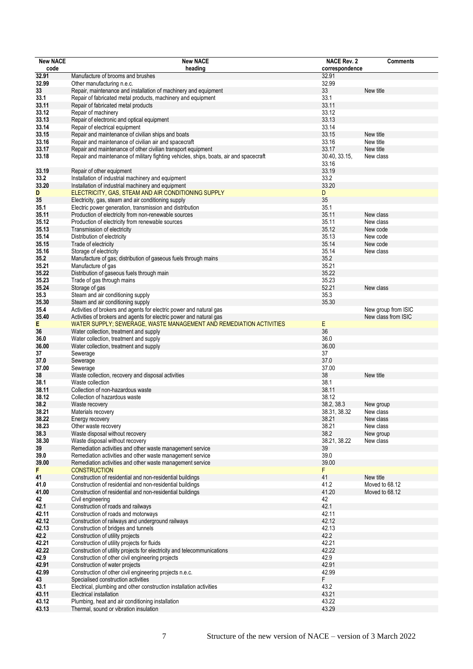| <b>New NACE</b> | <b>New NACE</b>                                                                        | <b>NACE Rev. 2</b> | <b>Comments</b>     |
|-----------------|----------------------------------------------------------------------------------------|--------------------|---------------------|
| code            | heading                                                                                | correspondence     |                     |
| 32.91           | Manufacture of brooms and brushes                                                      | 32.91              |                     |
| 32.99           | Other manufacturing n.e.c.                                                             | 32.99              |                     |
| 33              | Repair, maintenance and installation of machinery and equipment                        | 33                 | New title           |
| 33.1            | Repair of fabricated metal products, machinery and equipment                           | 33.1               |                     |
| 33.11           | Repair of fabricated metal products                                                    | 33.11              |                     |
| 33.12           | Repair of machinery                                                                    | 33.12              |                     |
| 33.13           | Repair of electronic and optical equipment                                             | 33.13              |                     |
| 33.14           | Repair of electrical equipment                                                         | 33.14              |                     |
| 33.15           | Repair and maintenance of civilian ships and boats                                     | 33.15              | New title           |
| 33.16           | Repair and maintenance of civilian air and spacecraft                                  | 33.16              | New title           |
| 33.17           | Repair and maintenance of other civilian transport equipment                           | 33.17              | New title           |
| 33.18           | Repair and maintenance of military fighting vehicles, ships, boats, air and spacecraft | 30.40, 33.15,      | New class           |
|                 |                                                                                        | 33.16              |                     |
| 33.19           | Repair of other equipment                                                              | 33.19              |                     |
| 33.2            | Installation of industrial machinery and equipment                                     | 33.2               |                     |
| 33.20           | Installation of industrial machinery and equipment                                     | 33.20              |                     |
| D               | ELECTRICITY, GAS, STEAM AND AIR CONDITIONING SUPPLY                                    | D                  |                     |
| 35              | Electricity, gas, steam and air conditioning supply                                    | 35                 |                     |
| 35.1            | Electric power generation, transmission and distribution                               | 35.1               |                     |
| 35.11           | Production of electricity from non-renewable sources                                   | 35.11              | New class           |
| 35.12           | Production of electricity from renewable sources                                       | 35.11              | New class           |
| 35.13           | Transmission of electricity                                                            | 35.12              | New code            |
| 35.14           | Distribution of electricity                                                            | 35.13              | New code            |
| 35.15           | Trade of electricity                                                                   | 35.14              | New code            |
| 35.16           | Storage of electricity                                                                 | 35.14              | New class           |
| 35.2            | Manufacture of gas; distribution of gaseous fuels through mains                        | 35.2               |                     |
| 35.21           | Manufacture of gas                                                                     | 35.21              |                     |
| 35.22           | Distribution of gaseous fuels through main                                             | 35.22              |                     |
|                 |                                                                                        | 35.23              |                     |
| 35.23           | Trade of gas through mains                                                             | 52.21              |                     |
| 35.24           | Storage of gas                                                                         | 35.3               | New class           |
| 35.3            | Steam and air conditioning supply                                                      | 35.30              |                     |
| 35.30           | Steam and air conditioning supply                                                      |                    |                     |
| 35.4            | Activities of brokers and agents for electric power and natural gas                    |                    | New group from ISIC |
| 35.40           | Activities of brokers and agents for electric power and natural gas                    |                    | New class from ISIC |
| E               | WATER SUPPLY; SEWERAGE, WASTE MANAGEMENT AND REMEDIATION ACTIVITIES                    | E.                 |                     |
| 36              | Water collection, treatment and supply                                                 | 36                 |                     |
| 36.0            | Water collection, treatment and supply                                                 | 36.0               |                     |
| 36.00           | Water collection, treatment and supply                                                 | 36.00              |                     |
| 37              | Sewerage                                                                               | 37                 |                     |
| 37.0            | Sewerage                                                                               | 37.0               |                     |
| 37.00           | Sewerage                                                                               | 37.00              |                     |
| 38              | Waste collection, recovery and disposal activities                                     | 38                 | New title           |
| 38.1            | Waste collection                                                                       | 38.1               |                     |
| 38.11           | Collection of non-hazardous waste                                                      | 38.11              |                     |
| 38.12           | Collection of hazardous waste                                                          | 38.12              |                     |
| 38.2            | Waste recovery                                                                         | 38.2, 38.3         | New group           |
| 38.21           | Materials recovery                                                                     | 38.31, 38.32       | New class           |
| 38.22           | Energy recovery                                                                        | 38.21              | New class           |
| 38.23           | Other waste recovery                                                                   | 38.21              | New class           |
| 38.3            | Waste disposal without recovery                                                        | 38.2               | New group           |
| 38.30           | Waste disposal without recovery                                                        | 38.21, 38.22       | New class           |
| 39              | Remediation activities and other waste management service                              | 39                 |                     |
| 39.0            | Remediation activities and other waste management service                              | 39.0               |                     |
| 39.00           | Remediation activities and other waste management service                              | 39.00              |                     |
| F               | <b>CONSTRUCTION</b>                                                                    | F                  |                     |
| 41              | Construction of residential and non-residential buildings                              | 41                 | New title           |
| 41.0            | Construction of residential and non-residential buildings                              | 41.2               | Moved to 68.12      |
| 41.00           | Construction of residential and non-residential buildings                              | 41.20              | Moved to 68.12      |
| 42              | Civil engineering                                                                      | 42                 |                     |
| 42.1            | Construction of roads and railways                                                     | 42.1               |                     |
| 42.11           | Construction of roads and motorways                                                    | 42.11              |                     |
| 42.12           | Construction of railways and underground railways                                      | 42.12              |                     |
| 42.13           | Construction of bridges and tunnels                                                    | 42.13              |                     |
| 42.2            | Construction of utility projects                                                       | 42.2               |                     |
| 42.21           | Construction of utility projects for fluids                                            | 42.21              |                     |
| 42.22           | Construction of utility projects for electricity and telecommunications                | 42.22              |                     |
| 42.9            | Construction of other civil engineering projects                                       | 42.9               |                     |
| 42.91           | Construction of water projects                                                         | 42.91              |                     |
| 42.99           | Construction of other civil engineering projects n.e.c.                                | 42.99              |                     |
| 43              | Specialised construction activities                                                    | F                  |                     |
| 43.1            | Electrical, plumbing and other construction installation activities                    | 43.2               |                     |
| 43.11           | Electrical installation                                                                | 43.21              |                     |
| 43.12           | Plumbing, heat and air conditioning installation                                       | 43.22              |                     |
| 43.13           | Thermal, sound or vibration insulation                                                 | 43.29              |                     |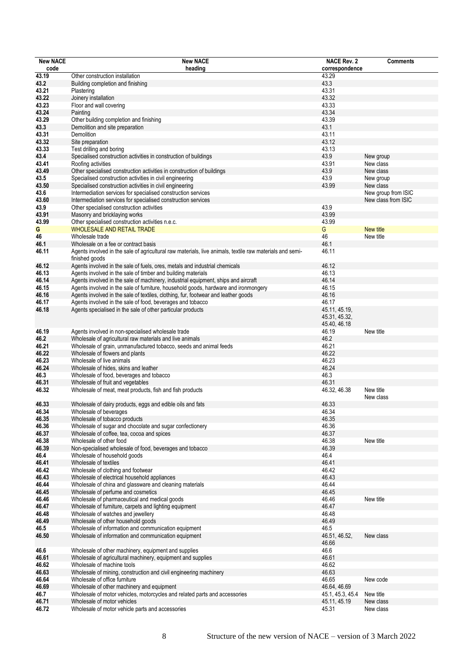| <b>New NACE</b> | <b>New NACE</b>                                                                                          | <b>NACE Rev. 2</b> | <b>Comments</b>     |
|-----------------|----------------------------------------------------------------------------------------------------------|--------------------|---------------------|
| code            | heading                                                                                                  | correspondence     |                     |
| 43.19           | Other construction installation                                                                          | 43.29              |                     |
| 43.2            | Building completion and finishing                                                                        | 43.3               |                     |
| 43.21           | Plastering                                                                                               | 43.31              |                     |
| 43.22           | Joinery installation                                                                                     | 43.32              |                     |
| 43.23           | Floor and wall covering                                                                                  | 43.33              |                     |
| 43.24           | Painting                                                                                                 | 43.34              |                     |
| 43.29           | Other building completion and finishing                                                                  | 43.39              |                     |
| 43.3            |                                                                                                          | 43.1               |                     |
|                 | Demolition and site preparation                                                                          |                    |                     |
| 43.31           | Demolition                                                                                               | 43.11              |                     |
| 43.32           | Site preparation                                                                                         | 43.12              |                     |
| 43.33           | Test drilling and boring                                                                                 | 43.13              |                     |
| 43.4            | Specialised construction activities in construction of buildings                                         | 43.9               | New group           |
| 43.41           | Roofing activities                                                                                       | 43.91              | New class           |
| 43.49           | Other specialised construction activities in construction of buildings                                   | 43.9               | New class           |
| 43.5            | Specialised construction activities in civil engineering                                                 | 43.9               | New group           |
| 43.50           | Specialised construction activities in civil engineering                                                 | 43.99              | New class           |
| 43.6            | Intermediation services for specialised construction services                                            |                    | New group from ISIC |
| 43.60           | Intermediation services for specialised construction services                                            |                    | New class from ISIC |
| 43.9            | Other specialised construction activities                                                                | 43.9               |                     |
| 43.91           | Masonry and bricklaying works                                                                            | 43.99              |                     |
| 43.99           | Other specialised construction activities n.e.c.                                                         | 43.99              |                     |
| G               | WHOLESALE AND RETAIL TRADE                                                                               | G                  | New title           |
| 46              | Wholesale trade                                                                                          | 46                 | New title           |
| 46.1            | Wholesale on a fee or contract basis                                                                     | 46.1               |                     |
| 46.11           | Agents involved in the sale of agricultural raw materials, live animals, textile raw materials and semi- | 46.11              |                     |
|                 | finished goods                                                                                           |                    |                     |
| 46.12           |                                                                                                          | 46.12              |                     |
|                 | Agents involved in the sale of fuels, ores, metals and industrial chemicals                              |                    |                     |
| 46.13           | Agents involved in the sale of timber and building materials                                             | 46.13              |                     |
| 46.14           | Agents involved in the sale of machinery, industrial equipment, ships and aircraft                       | 46.14              |                     |
| 46.15           | Agents involved in the sale of furniture, household goods, hardware and ironmongery                      | 46.15              |                     |
| 46.16           | Agents involved in the sale of textiles, clothing, fur, footwear and leather goods                       | 46.16              |                     |
| 46.17           | Agents involved in the sale of food, beverages and tobacco                                               | 46.17              |                     |
| 46.18           | Agents specialised in the sale of other particular products                                              | 45.11, 45.19,      |                     |
|                 |                                                                                                          | 45.31, 45.32,      |                     |
|                 |                                                                                                          | 45.40, 46.18       |                     |
| 46.19           | Agents involved in non-specialised wholesale trade                                                       | 46.19              | New title           |
| 46.2            | Wholesale of agricultural raw materials and live animals                                                 | 46.2               |                     |
| 46.21           | Wholesale of grain, unmanufactured tobacco, seeds and animal feeds                                       | 46.21              |                     |
| 46.22           | Wholesale of flowers and plants                                                                          | 46.22              |                     |
| 46.23           | Wholesale of live animals                                                                                | 46.23              |                     |
| 46.24           | Wholesale of hides, skins and leather                                                                    | 46.24              |                     |
| 46.3            | Wholesale of food, beverages and tobacco                                                                 | 46.3               |                     |
| 46.31           | Wholesale of fruit and vegetables                                                                        | 46.31              |                     |
| 46.32           | Wholesale of meat, meat products, fish and fish products                                                 | 46.32, 46.38       | New title           |
|                 |                                                                                                          |                    | New class           |
| 46.33           |                                                                                                          | 46.33              |                     |
|                 | Wholesale of dairy products, eggs and edible oils and fats                                               |                    |                     |
| 46.34           | Wholesale of beverages                                                                                   | 46.34              |                     |
| 46.35           | Wholesale of tobacco products                                                                            | 46.35              |                     |
| 46.36           | Wholesale of sugar and chocolate and sugar confectionery                                                 | 46.36              |                     |
| 46.37           | Wholesale of coffee, tea, cocoa and spices                                                               | 46.37              |                     |
| 46.38           | Wholesale of other food                                                                                  | 46.38              | New title           |
| 46.39           | Non-specialised wholesale of food, beverages and tobacco                                                 | 46.39              |                     |
| 46.4            | Wholesale of household goods                                                                             | 46.4               |                     |
| 46.41           | Wholesale of textiles                                                                                    | 46.41              |                     |
| 46.42           | Wholesale of clothing and footwear                                                                       | 46.42              |                     |
| 46.43           | Wholesale of electrical household appliances                                                             | 46.43              |                     |
| 46.44           | Wholesale of china and glassware and cleaning materials                                                  | 46.44              |                     |
| 46.45           | Wholesale of perfume and cosmetics                                                                       | 46.45              |                     |
| 46.46           | Wholesale of pharmaceutical and medical goods                                                            | 46.46              | New title           |
| 46.47           | Wholesale of furniture, carpets and lighting equipment                                                   | 46.47              |                     |
| 46.48           | Wholesale of watches and jewellery                                                                       | 46.48              |                     |
| 46.49           | Wholesale of other household goods                                                                       | 46.49              |                     |
| 46.5            | Wholesale of information and communication equipment                                                     | 46.5               |                     |
| 46.50           | Wholesale of information and communication equipment                                                     | 46.51, 46.52,      | New class           |
|                 |                                                                                                          | 46.66              |                     |
| 46.6            | Wholesale of other machinery, equipment and supplies                                                     | 46.6               |                     |
|                 |                                                                                                          | 46.61              |                     |
| 46.61           | Wholesale of agricultural machinery, equipment and supplies                                              |                    |                     |
| 46.62           | Wholesale of machine tools                                                                               | 46.62              |                     |
| 46.63           | Wholesale of mining, construction and civil engineering machinery                                        | 46.63              |                     |
| 46.64           | Wholesale of office furniture                                                                            | 46.65              | New code            |
| 46.69           | Wholesale of other machinery and equipment                                                               | 46.64, 46.69       |                     |
| 46.7            | Wholesale of motor vehicles, motorcycles and related parts and accessories                               | 45.1, 45.3, 45.4   | New title           |
| 46.71           | Wholesale of motor vehicles                                                                              | 45.11, 45.19       | New class           |
| 46.72           | Wholesale of motor vehicle parts and accessories                                                         | 45.31              | New class           |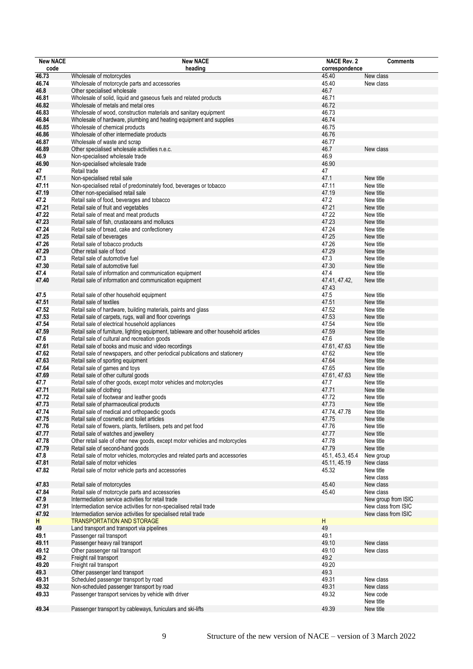| <b>New NACE</b> | <b>New NACE</b>                                                                      | <b>NACE Rev. 2</b> | <b>Comments</b>     |
|-----------------|--------------------------------------------------------------------------------------|--------------------|---------------------|
| code            | heading                                                                              | correspondence     |                     |
| 46.73           | Wholesale of motorcycles                                                             | 45.40              | New class           |
| 46.74           | Wholesale of motorcycle parts and accessories                                        | 45.40              | New class           |
| 46.8            | Other specialised wholesale                                                          | 46.7               |                     |
| 46.81           | Wholesale of solid, liquid and gaseous fuels and related products                    | 46.71              |                     |
| 46.82           | Wholesale of metals and metal ores                                                   | 46.72              |                     |
| 46.83           | Wholesale of wood, construction materials and sanitary equipment                     | 46.73              |                     |
| 46.84           | Wholesale of hardware, plumbing and heating equipment and supplies                   | 46.74              |                     |
| 46.85           | Wholesale of chemical products                                                       | 46.75              |                     |
| 46.86           | Wholesale of other intermediate products                                             | 46.76              |                     |
| 46.87           | Wholesale of waste and scrap                                                         | 46.77              |                     |
| 46.89           | Other specialised wholesale activities n.e.c.                                        | 46.7               | New class           |
| 46.9            | Non-specialised wholesale trade                                                      | 46.9               |                     |
| 46.90           | Non-specialised wholesale trade                                                      | 46.90              |                     |
| 47              | Retail trade                                                                         | 47                 |                     |
| 47.1            | Non-specialised retail sale                                                          | 47.1               | New title           |
| 47.11           | Non-specialised retail of predominately food, beverages or tobacco                   | 47.11              | New title           |
| 47.19           | Other non-specialised retail sale                                                    | 47.19              | New title           |
| 47.2            | Retail sale of food, beverages and tobacco                                           | 47.2               | New title           |
| 47.21           | Retail sale of fruit and vegetables                                                  | 47.21              | New title           |
| 47.22           | Retail sale of meat and meat products                                                | 47.22              | New title           |
| 47.23           | Retail sale of fish, crustaceans and molluscs                                        | 47.23              | New title           |
| 47.24           | Retail sale of bread, cake and confectionery                                         | 47.24              | New title           |
| 47.25           | Retail sale of beverages                                                             | 47.25              | New title           |
| 47.26           | Retail sale of tobacco products                                                      | 47.26              | New title           |
| 47.29           | Other retail sale of food                                                            | 47.29              | New title           |
| 47.3            | Retail sale of automotive fuel                                                       | 47.3               | New title           |
| 47.30           |                                                                                      | 47.30              |                     |
|                 | Retail sale of automotive fuel                                                       |                    | New title           |
| 47.4            | Retail sale of information and communication equipment                               | 47.4               | New title           |
| 47.40           | Retail sale of information and communication equipment                               | 47.41, 47.42,      | New title           |
|                 |                                                                                      | 47.43              |                     |
| 47.5            | Retail sale of other household equipment                                             | 47.5               | New title           |
| 47.51           | Retail sale of textiles                                                              | 47.51              | New title           |
| 47.52           | Retail sale of hardware, building materials, paints and glass                        | 47.52              | New title           |
| 47.53           | Retail sale of carpets, rugs, wall and floor coverings                               | 47.53              | New title           |
| 47.54           | Retail sale of electrical household appliances                                       | 47.54              | New title           |
| 47.59           | Retail sale of furniture, lighting equipment, tableware and other household articles | 47.59              | New title           |
| 47.6            | Retail sale of cultural and recreation goods                                         | 47.6               | New title           |
| 47.61           | Retail sale of books and music and video recordings                                  | 47.61, 47.63       | New title           |
| 47.62           | Retail sale of newspapers, and other periodical publications and stationery          | 47.62              | New title           |
| 47.63           | Retail sale of sporting equipment                                                    | 47.64              | New title           |
| 47.64           | Retail sale of games and toys                                                        | 47.65              | New title           |
| 47.69           | Retail sale of other cultural goods                                                  | 47.61, 47.63       | New title           |
| 47.7            | Retail sale of other goods, except motor vehicles and motorcycles                    | 47.7               | New title           |
| 47.71           | Retail sale of clothing                                                              | 47.71              | New title           |
| 47.72           | Retail sale of footwear and leather goods                                            | 47.72              | New title           |
| 47.73           | Retail sale of pharmaceutical products                                               | 47.73              | New title           |
| 47.74           | Retail sale of medical and orthopaedic goods                                         | 47.74, 47.78       | New title           |
| 47.75           | Retail sale of cosmetic and toilet articles                                          | 47.75              | New title           |
| 47.76           | Retail sale of flowers, plants, fertilisers, pets and pet food                       | 47.76              | New title           |
| 47.77           | Retail sale of watches and jewellery                                                 | 47.77              | New title           |
| 47.78           | Other retail sale of other new goods, except motor vehicles and motorcycles          | 47.78              | New title           |
| 47.79           | Retail sale of second-hand goods                                                     | 47.79              | New title           |
| 47.8            | Retail sale of motor vehicles, motorcycles and related parts and accessories         | 45.1, 45.3, 45.4   | New group           |
| 47.81           | Retail sale of motor vehicles                                                        | 45.11, 45.19       | New class           |
| 47.82           | Retail sale of motor vehicle parts and accessories                                   | 45.32              | New title           |
|                 |                                                                                      |                    | New class           |
| 47.83           | Retail sale of motorcycles                                                           | 45.40              | New class           |
| 47.84           | Retail sale of motorcycle parts and accessories                                      | 45.40              | New class           |
| 47.9            | Intermediation service activities for retail trade                                   |                    | New group from ISIC |
| 47.91           | Intermediation service activities for non-specialised retail trade                   |                    | New class from ISIC |
| 47.92           | Intermediation service activities for specialised retail trade                       |                    | New class from ISIC |
| н               | <b>TRANSPORTATION AND STORAGE</b>                                                    | H                  |                     |
| 49              | Land transport and transport via pipelines                                           | 49                 |                     |
| 49.1            | Passenger rail transport                                                             | 49.1               |                     |
| 49.11           | Passenger heavy rail transport                                                       | 49.10              | New class           |
| 49.12           | Other passenger rail transport                                                       | 49.10              | New class           |
| 49.2            | Freight rail transport                                                               | 49.2               |                     |
| 49.20           | Freight rail transport                                                               | 49.20              |                     |
| 49.3            | Other passenger land transport                                                       | 49.3               |                     |
| 49.31           | Scheduled passenger transport by road                                                | 49.31              | New class           |
| 49.32           | Non-scheduled passenger transport by road                                            | 49.31              | New class           |
| 49.33           | Passenger transport services by vehicle with driver                                  | 49.32              | New code            |
|                 |                                                                                      |                    | New title           |
| 49.34           | Passenger transport by cableways, funiculars and ski-lifts                           | 49.39              | New title           |
|                 |                                                                                      |                    |                     |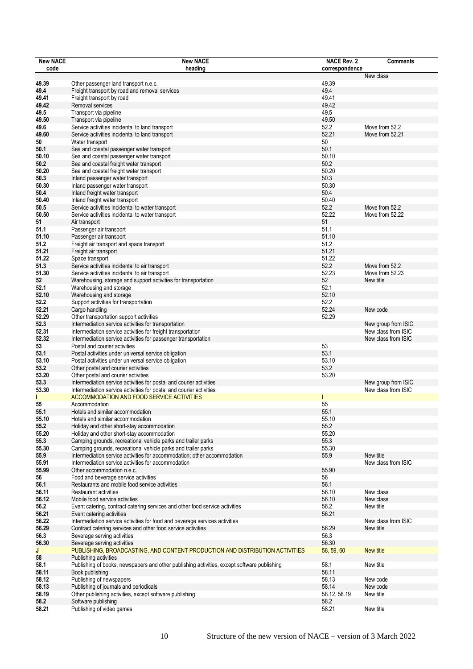| <b>New NACE</b> | <b>New NACE</b>                                                                                                                            | <b>NACE Rev. 2</b> | <b>Comments</b>                            |
|-----------------|--------------------------------------------------------------------------------------------------------------------------------------------|--------------------|--------------------------------------------|
| code            | heading                                                                                                                                    | correspondence     |                                            |
| 49.39           | Other passenger land transport n.e.c.                                                                                                      | 49.39              | New class                                  |
| 49.4            | Freight transport by road and removal services                                                                                             | 49.4               |                                            |
| 49.41           | Freight transport by road                                                                                                                  | 49.41              |                                            |
| 49.42           | Removal services                                                                                                                           | 49.42              |                                            |
| 49.5            | Transport via pipeline                                                                                                                     | 49.5               |                                            |
| 49.50           | Transport via pipeline                                                                                                                     | 49.50              |                                            |
| 49.6            | Service activities incidental to land transport                                                                                            | 52.2<br>52.21      | Move from 52.2<br>Move from 52.21          |
| 49.60<br>50     | Service activities incidental to land transport<br>Water transport                                                                         | 50                 |                                            |
| 50.1            | Sea and coastal passenger water transport                                                                                                  | 50.1               |                                            |
| 50.10           | Sea and coastal passenger water transport                                                                                                  | 50.10              |                                            |
| 50.2            | Sea and coastal freight water transport                                                                                                    | 50.2               |                                            |
| 50.20           | Sea and coastal freight water transport                                                                                                    | 50.20              |                                            |
| 50.3            | Inland passenger water transport                                                                                                           | 50.3               |                                            |
| 50.30           | Inland passenger water transport                                                                                                           | 50.30              |                                            |
| 50.4            | Inland freight water transport                                                                                                             | 50.4               |                                            |
| 50.40           | Inland freight water transport                                                                                                             | 50.40              |                                            |
| 50.5            | Service activities incidental to water transport                                                                                           | 52.2               | Move from 52.2                             |
| 50.50<br>51     | Service activities incidental to water transport<br>Air transport                                                                          | 52.22<br>51        | Move from 52.22                            |
| 51.1            | Passenger air transport                                                                                                                    | 51.1               |                                            |
| 51.10           | Passenger air transport                                                                                                                    | 51.10              |                                            |
| 51.2            | Freight air transport and space transport                                                                                                  | 51.2               |                                            |
| 51.21           | Freight air transport                                                                                                                      | 51.21              |                                            |
| 51.22           | Space transport                                                                                                                            | 51.22              |                                            |
| 51.3            | Service activities incidental to air transport                                                                                             | 52.2               | Move from 52.2                             |
| 51.30           | Service activities incidental to air transport                                                                                             | 52.23              | Move from 52.23                            |
| 52              | Warehousing, storage and support activities for transportation                                                                             | 52                 | New title                                  |
| 52.1            | Warehousing and storage                                                                                                                    | 52.1               |                                            |
| 52.10           | Warehousing and storage                                                                                                                    | 52.10              |                                            |
| 52.2<br>52.21   | Support activities for transportation<br>Cargo handling                                                                                    | 52.2<br>52.24      | New code                                   |
| 52.29           | Other transportation support activities                                                                                                    | 52.29              |                                            |
| 52.3            | Intermediation service activities for transportation                                                                                       |                    | New group from ISIC                        |
| 52.31           | Intermediation service activities for freight transportation                                                                               |                    | New class from ISIC                        |
| 52.32           | Intermediation service activities for passenger transportation                                                                             |                    | New class from ISIC                        |
| 53              | Postal and courier activities                                                                                                              | 53                 |                                            |
| 53.1            | Postal activities under universal service obligation                                                                                       | 53.1               |                                            |
| 53.10           | Postal activities under universal service obligation                                                                                       | 53.10              |                                            |
| 53.2            | Other postal and courier activities                                                                                                        | 53.2               |                                            |
| 53.20           | Other postal and courier activities                                                                                                        | 53.20              |                                            |
| 53.3<br>53.30   | Intermediation service activities for postal and courier activities<br>Intermediation service activities for postal and courier activities |                    | New group from ISIC<br>New class from ISIC |
|                 | <b>ACCOMMODATION AND FOOD SERVICE ACTIVITIES</b>                                                                                           |                    |                                            |
| 55              | Accommodation                                                                                                                              | 55                 |                                            |
| 55.1            | Hotels and similar accommodation                                                                                                           | 55.1               |                                            |
| 55.10           | Hotels and similar accommodation                                                                                                           | 55.10              |                                            |
| 55.2            | Holiday and other short-stay accommodation                                                                                                 | 55.2               |                                            |
| 55.20           | Holiday and other short-stay accommodation                                                                                                 | 55.20              |                                            |
| 55.3            | Camping grounds, recreational vehicle parks and trailer parks                                                                              | 55.3               |                                            |
| 55.30           | Camping grounds, recreational vehicle parks and trailer parks                                                                              | 55.30              |                                            |
| 55.9            | Intermediation service activities for accommodation; other accommodation                                                                   | 55.9               | New title                                  |
| 55.91<br>55.99  | Intermediation service activities for accommodation<br>Other accommodation n.e.c.                                                          | 55.90              | New class from ISIC                        |
| 56              | Food and beverage service activities                                                                                                       | 56                 |                                            |
| 56.1            | Restaurants and mobile food service activities                                                                                             | 56.1               |                                            |
| 56.11           | <b>Restaurant activities</b>                                                                                                               | 56.10              | New class                                  |
| 56.12           | Mobile food service activities                                                                                                             | 56.10              | New class                                  |
| 56.2            | Event catering, contract catering services and other food service activities                                                               | 56.2               | New title                                  |
| 56.21           | Event catering activities                                                                                                                  | 56.21              |                                            |
| 56.22           | Intermediation service activities for food and beverage services activities                                                                |                    | New class from ISIC                        |
| 56.29           | Contract catering services and other food service activities                                                                               | 56.29              | New title                                  |
| 56.3<br>56.30   | Beverage serving activities                                                                                                                | 56.3<br>56.30      |                                            |
| J               | Beverage serving activities<br>PUBLISHING, BROADCASTING, AND CONTENT PRODUCTION AND DISTRIBUTION ACTIVITIES                                | 58, 59, 60         | New title                                  |
| 58              | Publishing activities                                                                                                                      |                    |                                            |
| 58.1            | Publishing of books, newspapers and other publishing activities, except software publishing                                                | 58.1               | New title                                  |
| 58.11           | Book publishing                                                                                                                            | 58.11              |                                            |
| 58.12           | Publishing of newspapers                                                                                                                   | 58.13              | New code                                   |
| 58.13           | Publishing of journals and periodicals                                                                                                     | 58.14              | New code                                   |
| 58.19           | Other publishing activities, except software publishing                                                                                    | 58.12, 58.19       | New title                                  |
| 58.2            | Software publishing                                                                                                                        | 58.2               |                                            |
| 58.21           | Publishing of video games                                                                                                                  | 58.21              | New title                                  |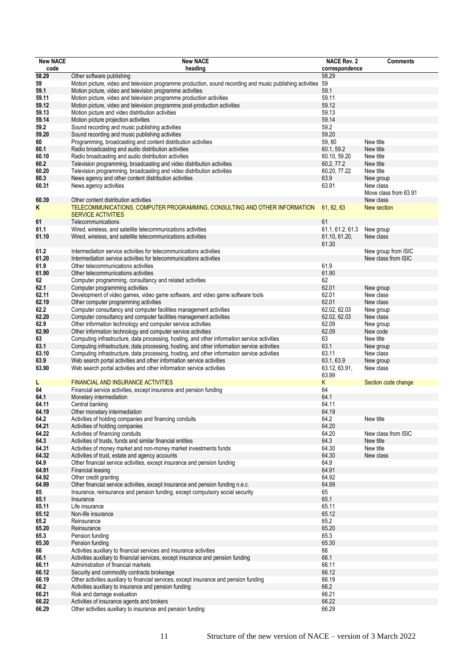| <b>New NACE</b> | <b>New NACE</b>                                                                                               | <b>NACE Rev. 2</b> | <b>Comments</b>       |
|-----------------|---------------------------------------------------------------------------------------------------------------|--------------------|-----------------------|
| code            | heading                                                                                                       | correspondence     |                       |
| 58.29           | Other software publishing                                                                                     | 58.29              |                       |
| 59              | Motion picture, video and television programme production, sound recording and music publishing activities 59 |                    |                       |
| 59.1            | Motion picture, video and television programme activities                                                     | 59.1               |                       |
| 59.11           | Motion picture, video and television programme production activities                                          | 59.11              |                       |
| 59.12           | Motion picture, video and television programme post-production activities                                     | 59.12              |                       |
| 59.13           | Motion picture and video distribution activities                                                              | 59.13              |                       |
| 59.14           | Motion picture projection activities                                                                          | 59.14              |                       |
| 59.2            | Sound recording and music publishing activities                                                               | 59.2               |                       |
| 59.20           | Sound recording and music publishing activities                                                               | 59.20              |                       |
| 60              | Programming, broadcasting and content distribution activities                                                 | 59,60              | New title             |
| 60.1            | Radio broadcasting and audio distribution activities                                                          | 60.1, 59.2         | New title             |
| 60.10           | Radio broadcasting and audio distribution activities                                                          | 60.10, 59.20       | New title             |
| 60.2            | Television programming, broadcasting and video distribution activities                                        | 60.2, 77.2         | New title             |
| 60.20           | Television programming, broadcasting and video distribution activities                                        | 60.20, 77.22       | New title             |
| 60.3            | News agency and other content distribution activities                                                         | 63.9               | New group             |
| 60.31           | News agency activities                                                                                        | 63.91              | New class             |
|                 |                                                                                                               |                    | Move class from 63.91 |
| 60.39           | Other content distribution activities                                                                         |                    | New class             |
| Κ               | TELECOMMUNICATIONS, COMPUTER PROGRAMMING, CONSULTING AND OTHER INFORMATION                                    | 61, 62, 63         | New section           |
|                 | <b>SERVICE ACTIVITIES</b>                                                                                     |                    |                       |
| 61              | Telecommunications                                                                                            | 61                 |                       |
| 61.1            | Wired, wireless, and satellite telecommunications activities                                                  | 61.1, 61.2, 61.3   | New group             |
| 61.10           | Wired, wireless, and satellite telecommunications activities                                                  | 61.10, 61.20,      | New class             |
|                 |                                                                                                               | 61.30              |                       |
| 61.2            | Intermediation service activities for telecommunications activities                                           |                    | New group from ISIC   |
| 61.20           | Intermediation service activities for telecommunications activities                                           |                    | New class from ISIC   |
| 61.9            | Other telecommunications activities                                                                           | 61.9               |                       |
| 61.90           | Other telecommunications activities                                                                           | 61.90              |                       |
| 62              | Computer programming, consultancy and related activities                                                      | 62                 |                       |
| 62.1            | Computer programming activities                                                                               | 62.01              | New group             |
| 62.11           | Development of video games, video game software, and video game software tools                                | 62.01              | New class             |
| 62.19           | Other computer programming activities                                                                         | 62.01              | New class             |
| 62.2            | Computer consultancy and computer facilities management activities                                            | 62.02, 62.03       | New group             |
| 62.20           | Computer consultancy and computer facilities management activities                                            | 62.02, 62.03       | New class             |
| 62.9            | Other information technology and computer service activities                                                  | 62.09              | New group             |
| 62.90           | Other information technology and computer service activities                                                  | 62.09              | New code              |
| 63              | Computing infrastructure, data processing, hosting, and other information service activities                  | 63                 | New title             |
| 63.1            | Computing infrastructure, data processing, hosting, and other information service activities                  | 63.1               | New group             |
| 63.10           | Computing infrastructure, data processing, hosting, and other information service activities                  | 63.11              | New class             |
| 63.9            | Web search portal activities and other information service activities                                         | 63.1, 63.9         | New group             |
| 63.90           | Web search portal activities and other information service activities                                         | 63.12, 63.91,      | New class             |
|                 |                                                                                                               | 63.99              |                       |
| L               | <b>FINANCIAL AND INSURANCE ACTIVITIES</b>                                                                     | Κ                  | Section code change   |
| 64              | Financial service activities, except insurance and pension funding                                            | 64                 |                       |
| 64.1            | Monetary intermediation                                                                                       | 64.1               |                       |
| 64.11           | Central banking                                                                                               | 64.11              |                       |
| 64.19           | Other monetary intermediation                                                                                 | 64.19              |                       |
| 64.2            | Activities of holding companies and financing conduits                                                        | 64.2               | New title             |
| 64.21           | Activities of holding companies                                                                               | 64.20              |                       |
| 64.22           | Activities of financing conduits                                                                              | 64.20              | New class from ISIC   |
| 64.3            | Activities of trusts, funds and similar financial entities                                                    | 64.3               | New title             |
| 64.31           | Activities of money market and non-money market investments funds                                             | 64.30              | New title             |
| 64.32           | Activities of trust, estate and agency accounts                                                               | 64.30              | New class             |
| 64.9            | Other financial service activities, except insurance and pension funding                                      | 64.9               |                       |
| 64.91           | Financial leasing                                                                                             | 64.91              |                       |
| 64.92           | Other credit granting                                                                                         | 64.92              |                       |
| 64.99           | Other financial service activities, except insurance and pension funding n.e.c.                               | 64.99              |                       |
| 65              | Insurance, reinsurance and pension funding, except compulsory social security                                 | 65                 |                       |
| 65.1            | Insurance                                                                                                     | 65.1               |                       |
| 65.11           | Life insurance                                                                                                | 65.11              |                       |
| 65.12           | Non-life insurance                                                                                            | 65.12              |                       |
|                 |                                                                                                               | 65.2               |                       |
| 65.2<br>65.20   | Reinsurance<br>Reinsurance                                                                                    | 65.20              |                       |
|                 |                                                                                                               |                    |                       |
| 65.3            | Pension funding                                                                                               | 65.3               |                       |
| 65.30           | Pension funding                                                                                               | 65.30              |                       |
| 66              | Activities auxiliary to financial services and insurance activities                                           | 66                 |                       |
| 66.1            | Activities auxiliary to financial services, except insurance and pension funding                              | 66.1               |                       |
| 66.11           | Administration of financial markets                                                                           | 66.11              |                       |
| 66.12           | Security and commodity contracts brokerage                                                                    | 66.12              |                       |
| 66.19           | Other activities auxiliary to financial services, except insurance and pension funding                        | 66.19              |                       |
| 66.2            | Activities auxiliary to insurance and pension funding                                                         | 66.2               |                       |
| 66.21           | Risk and damage evaluation                                                                                    | 66.21              |                       |
| 66.22           | Activities of insurance agents and brokers                                                                    | 66.22              |                       |
| 66.29           | Other activities auxiliary to insurance and pension funding                                                   | 66.29              |                       |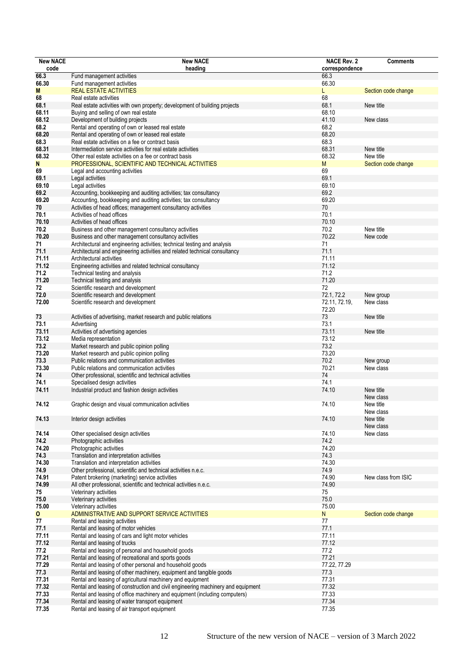| <b>New NACE</b> | <b>New NACE</b>                                                                  | <b>NACE Rev. 2</b>     | <b>Comments</b>        |
|-----------------|----------------------------------------------------------------------------------|------------------------|------------------------|
| code            | heading                                                                          | correspondence         |                        |
| 66.3            | Fund management activities                                                       | 66.3                   |                        |
| 66.30           | Fund management activities                                                       | 66.30                  |                        |
| M               | <b>REAL ESTATE ACTIVITIES</b>                                                    | L                      | Section code change    |
| 68              | Real estate activities                                                           | 68                     |                        |
| 68.1            | Real estate activities with own property; development of building projects       | 68.1                   | New title              |
| 68.11           | Buying and selling of own real estate                                            | 68.10                  |                        |
| 68.12           | Development of building projects                                                 | 41.10                  | New class              |
| 68.2            | Rental and operating of own or leased real estate                                | 68.2                   |                        |
| 68.20           | Rental and operating of own or leased real estate                                | 68.20                  |                        |
| 68.3            | Real estate activities on a fee or contract basis                                | 68.3                   |                        |
| 68.31           | Intermediation service activities for real estate activities                     | 68.31                  | New title              |
| 68.32           | Other real estate activities on a fee or contract basis                          | 68.32                  | New title              |
| N               | PROFESSIONAL, SCIENTIFIC AND TECHNICAL ACTIVITIES                                | M                      | Section code change    |
| 69              | Legal and accounting activities                                                  | 69                     |                        |
| 69.1            | Legal activities                                                                 | 69.1                   |                        |
| 69.10           | Legal activities                                                                 | 69.10                  |                        |
| 69.2            | Accounting, bookkeeping and auditing activities; tax consultancy                 | 69.2                   |                        |
| 69.20           | Accounting, bookkeeping and auditing activities; tax consultancy                 | 69.20                  |                        |
| 70              | Activities of head offices; management consultancy activities                    | 70                     |                        |
| 70.1            | Activities of head offices                                                       | 70.1                   |                        |
| 70.10           | Activities of head offices                                                       | 70.10                  |                        |
| 70.2            | Business and other management consultancy activities                             | 70.2                   | New title              |
| 70.20           | Business and other management consultancy activities                             | 70.22                  | New code               |
| 71              | Architectural and engineering activities; technical testing and analysis         | 71                     |                        |
| 71.1            | Architectural and engineering activities and related technical consultancy       | 71.1                   |                        |
| 71.11           | Architectural activities                                                         | 71.11                  |                        |
| 71.12           | Engineering activities and related technical consultancy                         | 71.12                  |                        |
| 71.2            | Technical testing and analysis                                                   | 71.2                   |                        |
| 71.20           | Technical testing and analysis                                                   | 71.20                  |                        |
| 72              | Scientific research and development                                              | 72                     |                        |
| 72.0            | Scientific research and development                                              | 72.1, 72.2             | New group              |
| 72.00           | Scientific research and development                                              | 72.11, 72.19,<br>72.20 | New class              |
| 73              | Activities of advertising, market research and public relations                  | 73                     | New title              |
| 73.1            | Advertising                                                                      | 73.1                   |                        |
| 73.11           | Activities of advertising agencies                                               | 73.11                  | New title              |
| 73.12           | Media representation                                                             | 73.12                  |                        |
| 73.2            | Market research and public opinion polling                                       | 73.2                   |                        |
| 73.20           | Market research and public opinion polling                                       | 73.20                  |                        |
| 73.3            | Public relations and communication activities                                    | 70.2                   | New group              |
| 73.30           | Public relations and communication activities                                    | 70.21                  | New class              |
| 74              | Other professional, scientific and technical activities                          | 74                     |                        |
| 74.1            | Specialised design activities                                                    | 74.1                   |                        |
| 74.11           | Industrial product and fashion design activities                                 | 74.10                  | New title<br>New class |
| 74.12           | Graphic design and visual communication activities                               | 74.10                  | New title<br>New class |
| 74.13           | Interior design activities                                                       | 74.10                  | New title<br>New class |
| 74.14           | Other specialised design activities                                              | 74.10                  | New class              |
| 74.2            | Photographic activities                                                          | 74.2                   |                        |
| 74.20           | Photographic activities                                                          | 74.20                  |                        |
| 74.3            | Translation and interpretation activities                                        | 74.3                   |                        |
| 74.30           | Translation and interpretation activities                                        | 74.30                  |                        |
| 74.9            | Other professional, scientific and technical activities n.e.c.                   | 74.9                   |                        |
| 74.91           | Patent brokering (marketing) service activities                                  | 74.90                  | New class from ISIC    |
| 74.99           | All other professional, scientific and technical activities n.e.c.               | 74.90                  |                        |
| 75              | Veterinary activities                                                            | 75                     |                        |
| 75.0            | Veterinary activities                                                            | 75.0                   |                        |
| 75.00           | Veterinary activities                                                            | 75.00                  |                        |
| 0               | ADMINISTRATIVE AND SUPPORT SERVICE ACTIVITIES                                    | ${\sf N}$              | Section code change    |
| 77              | Rental and leasing activities                                                    | $77$                   |                        |
| 77.1            | Rental and leasing of motor vehicles                                             | 77.1                   |                        |
| 77.11           | Rental and leasing of cars and light motor vehicles                              | 77.11                  |                        |
| 77.12           | Rental and leasing of trucks                                                     | 77.12                  |                        |
| 77.2            | Rental and leasing of personal and household goods                               | 77.2                   |                        |
| 77.21           | Rental and leasing of recreational and sports goods                              | 77.21                  |                        |
| 77.29           | Rental and leasing of other personal and household goods                         | 77.22, 77.29           |                        |
| 77.3            | Rental and leasing of other machinery, equipment and tangible goods              | 77.3                   |                        |
| 77.31           | Rental and leasing of agricultural machinery and equipment                       | 77.31                  |                        |
| 77.32           | Rental and leasing of construction and civil engineering machinery and equipment | 77.32                  |                        |
| 77.33           | Rental and leasing of office machinery and equipment (including computers)       | 77.33                  |                        |
| 77.34           | Rental and leasing of water transport equipment                                  | 77.34                  |                        |
| 77.35           | Rental and leasing of air transport equipment                                    | 77.35                  |                        |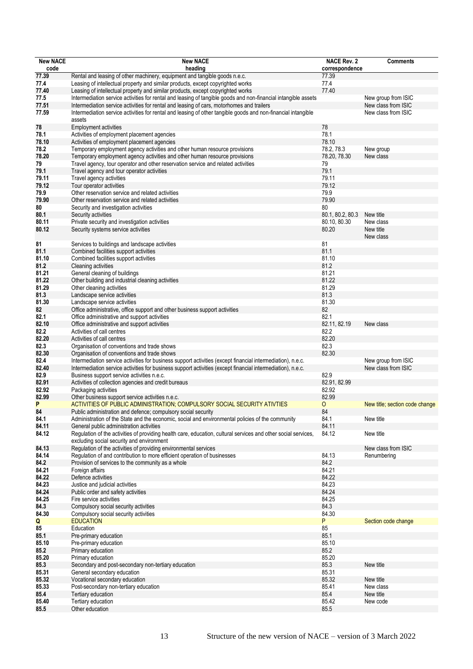| <b>New NACE</b> | <b>New NACE</b>                                                                                                                                            | <b>NACE Rev. 2</b>     | <b>Comments</b>                |
|-----------------|------------------------------------------------------------------------------------------------------------------------------------------------------------|------------------------|--------------------------------|
| code            | heading                                                                                                                                                    | correspondence         |                                |
| 77.39           | Rental and leasing of other machinery, equipment and tangible goods n.e.c.                                                                                 | 77.39                  |                                |
| 77.4            | Leasing of intellectual property and similar products, except copyrighted works                                                                            | 77.4                   |                                |
| 77.40           | Leasing of intellectual property and similar products, except copyrighted works                                                                            | 77.40                  |                                |
| 77.5            | Intermediation service activities for rental and leasing of tangible goods and non-financial intangible assets                                             |                        | New group from ISIC            |
| 77.51           | Intermediation service activities for rental and leasing of cars, motorhomes and trailers                                                                  |                        | New class from ISIC            |
| 77.59           | Intermediation service activities for rental and leasing of other tangible goods and non-financial intangible                                              |                        | New class from ISIC            |
|                 | assets                                                                                                                                                     |                        |                                |
| 78              | <b>Employment activities</b>                                                                                                                               | 78                     |                                |
| 78.1            | Activities of employment placement agencies                                                                                                                | 78.1                   |                                |
| 78.10           | Activities of employment placement agencies                                                                                                                | 78.10                  |                                |
| 78.2            | Temporary employment agency activities and other human resource provisions                                                                                 | 78.2, 78.3             | New group                      |
| 78.20           | Temporary employment agency activities and other human resource provisions                                                                                 | 78.20, 78.30           | New class                      |
| 79              | Travel agency, tour operator and other reservation service and related activities                                                                          | 79                     |                                |
| 79.1            | Travel agency and tour operator activities                                                                                                                 | 79.1                   |                                |
| 79.11           | Travel agency activities                                                                                                                                   | 79.11                  |                                |
| 79.12           | Tour operator activities                                                                                                                                   | 79.12                  |                                |
| 79.9            | Other reservation service and related activities                                                                                                           | 79.9                   |                                |
| 79.90           | Other reservation service and related activities                                                                                                           | 79.90                  |                                |
| 80              | Security and investigation activities                                                                                                                      | 80<br>80.1, 80.2, 80.3 |                                |
| 80.1            | Security activities                                                                                                                                        | 80.10, 80.30           | New title<br>New class         |
| 80.11           | Private security and investigation activities                                                                                                              | 80.20                  |                                |
| 80.12           | Security systems service activities                                                                                                                        |                        | New title<br>New class         |
| 81              | Services to buildings and landscape activities                                                                                                             | 81                     |                                |
| 81.1            | Combined facilities support activities                                                                                                                     | 81.1                   |                                |
| 81.10           | Combined facilities support activities                                                                                                                     | 81.10                  |                                |
| 81.2            | Cleaning activities                                                                                                                                        | 81.2                   |                                |
| 81.21           | General cleaning of buildings                                                                                                                              | 81.21                  |                                |
| 81.22           | Other building and industrial cleaning activities                                                                                                          | 81.22                  |                                |
| 81.29           | Other cleaning activities                                                                                                                                  | 81.29                  |                                |
| 81.3            | Landscape service activities                                                                                                                               | 81.3                   |                                |
| 81.30           | Landscape service activities                                                                                                                               | 81.30                  |                                |
| 82              | Office administrative, office support and other business support activities                                                                                | 82                     |                                |
| 82.1            | Office administrative and support activities                                                                                                               | 82.1                   |                                |
| 82.10           | Office administrative and support activities                                                                                                               | 82.11, 82.19           | New class                      |
| 82.2            | Activities of call centres                                                                                                                                 | 82.2                   |                                |
| 82.20           | Activities of call centres                                                                                                                                 | 82.20                  |                                |
| 82.3            | Organisation of conventions and trade shows                                                                                                                | 82.3                   |                                |
| 82.30           | Organisation of conventions and trade shows                                                                                                                | 82.30                  |                                |
| 82.4            | Intermediation service activities for business support activities (except financial intermediation), n.e.c.                                                |                        | New group from ISIC            |
| 82.40           | Intermediation service activities for business support activities (except financial intermediation), n.e.c.                                                |                        | New class from ISIC            |
| 82.9            | Business support service activities n.e.c.                                                                                                                 | 82.9                   |                                |
| 82.91           | Activities of collection agencies and credit bureaus                                                                                                       | 82.91, 82.99           |                                |
| 82.92           | Packaging activities                                                                                                                                       | 82.92                  |                                |
| 82.99           | Other business support service activities n.e.c.                                                                                                           | 82.99                  |                                |
| P               | ACTIVITIES OF PUBLIC ADMINISTRATION; COMPULSORY SOCIAL SECURITY ATIVTIES                                                                                   | 0                      | New title; section code change |
| 84              | Public administration and defence; compulsory social security                                                                                              | 84                     |                                |
| 84.1            | Administration of the State and the economic, social and environmental policies of the community                                                           | 84.1                   | New title                      |
| 84.11           | General public administration activities<br>Regulation of the activities of providing health care, education, cultural services and other social services, | 84.11                  |                                |
| 84.12           | excluding social security and environment                                                                                                                  | 84.12                  | New title                      |
| 84.13           | Regulation of the activities of providing environmental services                                                                                           |                        | New class from ISIC            |
| 84.14           | Regulation of and contribution to more efficient operation of businesses                                                                                   | 84.13                  | Renumbering                    |
| 84.2            | Provision of services to the community as a whole                                                                                                          | 84.2                   |                                |
| 84.21           | Foreign affairs                                                                                                                                            | 84.21                  |                                |
| 84.22           | Defence activities                                                                                                                                         | 84.22                  |                                |
| 84.23           | Justice and judicial activities                                                                                                                            | 84.23                  |                                |
| 84.24           | Public order and safety activities                                                                                                                         | 84.24                  |                                |
| 84.25           | Fire service activities                                                                                                                                    | 84.25                  |                                |
| 84.3            | Compulsory social security activities                                                                                                                      | 84.3                   |                                |
| 84.30           | Compulsory social security activities                                                                                                                      | 84.30                  |                                |
| Q               | <b>EDUCATION</b>                                                                                                                                           | P                      | Section code change            |
| 85              | Education                                                                                                                                                  | 85                     |                                |
| 85.1            | Pre-primary education                                                                                                                                      | 85.1                   |                                |
| 85.10           | Pre-primary education                                                                                                                                      | 85.10                  |                                |
| 85.2            | Primary education                                                                                                                                          | 85.2                   |                                |
| 85.20           | Primary education                                                                                                                                          | 85.20                  |                                |
| 85.3            | Secondary and post-secondary non-tertiary education                                                                                                        | 85.3                   | New title                      |
| 85.31           | General secondary education                                                                                                                                | 85.31                  |                                |
| 85.32           | Vocational secondary education                                                                                                                             | 85.32                  | New title                      |
| 85.33           | Post-secondary non-tertiary education                                                                                                                      | 85.41                  | New class                      |
| 85.4            | Tertiary education                                                                                                                                         | 85.4                   | New title                      |
| 85.40           | Tertiary education                                                                                                                                         | 85.42                  | New code                       |
| 85.5            | Other education                                                                                                                                            | 85.5                   |                                |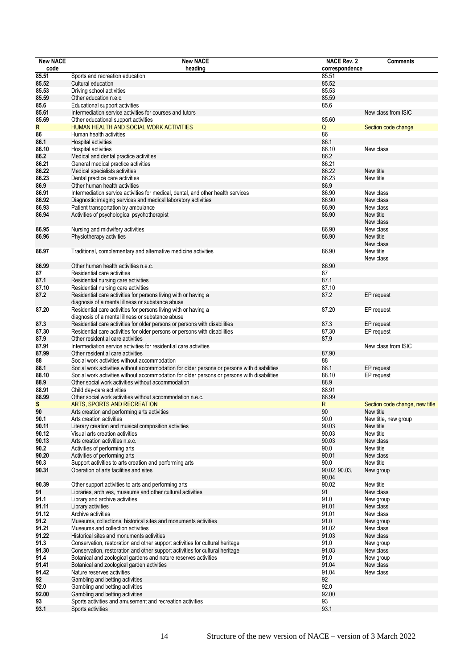| <b>New NACE</b> | <b>New NACE</b>                                                                             | <b>NACE Rev. 2</b> | <b>Comments</b>                |
|-----------------|---------------------------------------------------------------------------------------------|--------------------|--------------------------------|
| code            | heading                                                                                     | correspondence     |                                |
| 85.51           | Sports and recreation education                                                             | 85.51              |                                |
| 85.52           | Cultural education                                                                          | 85.52              |                                |
| 85.53           | Driving school activities                                                                   | 85.53              |                                |
| 85.59           | Other education n.e.c.                                                                      | 85.59              |                                |
| 85.6            | Educational support activities                                                              | 85.6               |                                |
| 85.61           | Intermediation service activities for courses and tutors                                    |                    | New class from ISIC            |
|                 |                                                                                             |                    |                                |
| 85.69           | Other educational support activities                                                        | 85.60              |                                |
| R               | HUMAN HEALTH AND SOCIAL WORK ACTIVITIES                                                     | $\mathsf Q$        | Section code change            |
| 86              | Human health activities                                                                     | 86                 |                                |
| 86.1            | Hospital activities                                                                         | 86.1               |                                |
| 86.10           | Hospital activities                                                                         | 86.10              | New class                      |
| 86.2            | Medical and dental practice activities                                                      | 86.2               |                                |
| 86.21           | General medical practice activities                                                         | 86.21              |                                |
| 86.22           | Medical specialists activities                                                              | 86.22              | New title                      |
| 86.23           | Dental practice care activities                                                             | 86.23              | New title                      |
| 86.9            | Other human health activities                                                               | 86.9               |                                |
| 86.91           | Intermediation service activities for medical, dental, and other health services            | 86.90              | New class                      |
| 86.92           | Diagnostic imaging services and medical laboratory activities                               | 86.90              | New class                      |
| 86.93           | Patient transportation by ambulance                                                         | 86.90              | New class                      |
| 86.94           | Activities of psychological psychotherapist                                                 | 86.90              | New title                      |
|                 |                                                                                             |                    | New class                      |
| 86.95           | Nursing and midwifery activities                                                            | 86.90              | New class                      |
| 86.96           | Physiotherapy activities                                                                    | 86.90              | New title                      |
|                 |                                                                                             |                    | New class                      |
| 86.97           | Traditional, complementary and alternative medicine activities                              | 86.90              | New title                      |
|                 |                                                                                             |                    |                                |
| 86.99           | Other human health activities n.e.c.                                                        | 86.90              | New class                      |
|                 |                                                                                             |                    |                                |
| 87              | Residential care activities                                                                 | 87                 |                                |
| 87.1            | Residential nursing care activities                                                         | 87.1               |                                |
| 87.10           | Residential nursing care activities                                                         | 87.10              |                                |
| 87.2            | Residential care activities for persons living with or having a                             | 87.2               | EP request                     |
|                 | diagnosis of a mental illness or substance abuse                                            |                    |                                |
| 87.20           | Residential care activities for persons living with or having a                             | 87.20              | EP request                     |
|                 | diagnosis of a mental illness or substance abuse                                            |                    |                                |
| 87.3            | Residential care activities for older persons or persons with disabilities                  | 87.3               | EP request                     |
| 87.30           | Residential care activities for older persons or persons with disabilities                  | 87.30              | EP request                     |
| 87.9            | Other residential care activities                                                           | 87.9               |                                |
| 87.91           | Intermediation service activities for residential care activities                           |                    | New class from ISIC            |
| 87.99           | Other residential care activities                                                           | 87.90              |                                |
| 88              | Social work activities without accommodation                                                | 88                 |                                |
| 88.1            | Social work activities without accommodation for older persons or persons with disabilities | 88.1               | EP request                     |
| 88.10           | Social work activities without accommodation for older persons or persons with disabilities | 88.10              | EP request                     |
| 88.9            | Other social work activities without accommodation                                          | 88.9               |                                |
| 88.91           | Child day-care activities                                                                   | 88.91              |                                |
| 88.99           | Other social work activities without accommodation n.e.c.                                   | 88.99              |                                |
| S               | ARTS, SPORTS AND RECREATION                                                                 | R                  | Section code change, new title |
| 90              | Arts creation and performing arts activities                                                | 90                 | New title                      |
| 90.1            | Arts creation activities                                                                    | 90.0               | New title, new group           |
| 90.11           | Literary creation and musical composition activities                                        | 90.03              | New title                      |
| 90.12           | Visual arts creation activities                                                             | 90.03              | New title                      |
|                 |                                                                                             | 90.03              |                                |
| 90.13           | Arts creation activities n.e.c.                                                             |                    | New class                      |
| 90.2            | Activities of performing arts                                                               | 90.0               | New title                      |
| 90.20           | Activities of performing arts                                                               | 90.01              | New class                      |
| 90.3            | Support activities to arts creation and performing arts                                     | 90.0               | New title                      |
| 90.31           | Operation of arts facilities and sites                                                      | 90.02, 90.03,      | New group                      |
|                 |                                                                                             | 90.04              |                                |
| 90.39           | Other support activities to arts and performing arts                                        | 90.02              | New title                      |
| 91              | Libraries, archives, museums and other cultural activities                                  | 91                 | New class                      |
| 91.1            | Library and archive activities                                                              | 91.0               | New group                      |
| 91.11           | Library activities                                                                          | 91.01              | New class                      |
| 91.12           | Archive activities                                                                          | 91.01              | New class                      |
| 91.2            | Museums, collections, historical sites and monuments activities                             | 91.0               | New group                      |
| 91.21           | Museums and collection activities                                                           | 91.02              | New class                      |
| 91.22           | Historical sites and monuments activities                                                   | 91.03              | New class                      |
| 91.3            | Conservation, restoration and other support activities for cultural heritage                | 91.0               | New group                      |
| 91.30           | Conservation, restoration and other support activities for cultural heritage                | 91.03              | New class                      |
| 91.4            | Botanical and zoological gardens and nature reserves activities                             | 91.0               | New group                      |
| 91.41           | Botanical and zoological garden activities                                                  | 91.04              | New class                      |
| 91.42           | Nature reserves activities                                                                  | 91.04              | New class                      |
| 92              | Gambling and betting activities                                                             | 92                 |                                |
| 92.0            | Gambling and betting activities                                                             | 92.0               |                                |
| 92.00           | Gambling and betting activities                                                             | 92.00              |                                |
| 93              | Sports activities and amusement and recreation activities                                   | 93                 |                                |
| 93.1            | Sports activities                                                                           | 93.1               |                                |
|                 |                                                                                             |                    |                                |